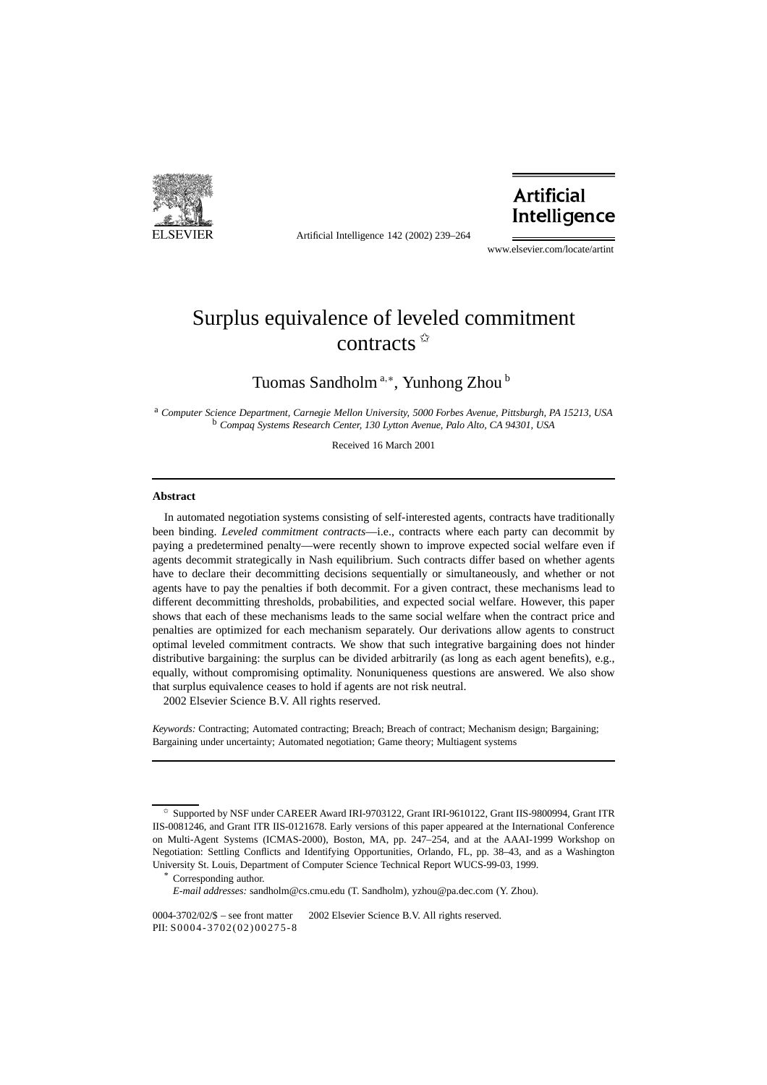

Artificial Intelligence 142 (2002) 239–264



www.elsevier.com/locate/artint

# Surplus equivalence of leveled commitment contracts  $\overrightarrow{x}$

Tuomas Sandholm<sup>a,∗</sup>, Yunhong Zhou <sup>b</sup>

<sup>a</sup> *Computer Science Department, Carnegie Mellon University, 5000 Forbes Avenue, Pittsburgh, PA 15213, USA* <sup>b</sup> *Compaq Systems Research Center, 130 Lytton Avenue, Palo Alto, CA 94301, USA*

Received 16 March 2001

#### **Abstract**

In automated negotiation systems consisting of self-interested agents, contracts have traditionally been binding. *Leveled commitment contracts*—i.e., contracts where each party can decommit by paying a predetermined penalty—were recently shown to improve expected social welfare even if agents decommit strategically in Nash equilibrium. Such contracts differ based on whether agents have to declare their decommitting decisions sequentially or simultaneously, and whether or not agents have to pay the penalties if both decommit. For a given contract, these mechanisms lead to different decommitting thresholds, probabilities, and expected social welfare. However, this paper shows that each of these mechanisms leads to the same social welfare when the contract price and penalties are optimized for each mechanism separately. Our derivations allow agents to construct optimal leveled commitment contracts. We show that such integrative bargaining does not hinder distributive bargaining: the surplus can be divided arbitrarily (as long as each agent benefits), e.g., equally, without compromising optimality. Nonuniqueness questions are answered. We also show that surplus equivalence ceases to hold if agents are not risk neutral. 2002 Elsevier Science B.V. All rights reserved.

*Keywords:* Contracting; Automated contracting; Breach; Breach of contract; Mechanism design; Bargaining; Bargaining under uncertainty; Automated negotiation; Game theory; Multiagent systems

Corresponding author.

<sup>✩</sup> Supported by NSF under CAREER Award IRI-9703122, Grant IRI-9610122, Grant IIS-9800994, Grant ITR IIS-0081246, and Grant ITR IIS-0121678. Early versions of this paper appeared at the International Conference on Multi-Agent Systems (ICMAS-2000), Boston, MA, pp. 247–254, and at the AAAI-1999 Workshop on Negotiation: Settling Conflicts and Identifying Opportunities, Orlando, FL, pp. 38–43, and as a Washington University St. Louis, Department of Computer Science Technical Report WUCS-99-03, 1999.

*E-mail addresses:* sandholm@cs.cmu.edu (T. Sandholm), yzhou@pa.dec.com (Y. Zhou).

 $0004-3702/02\%$  – see front matter  $\odot$  2002 Elsevier Science B.V. All rights reserved. PII: S0004-3702(02)00275-8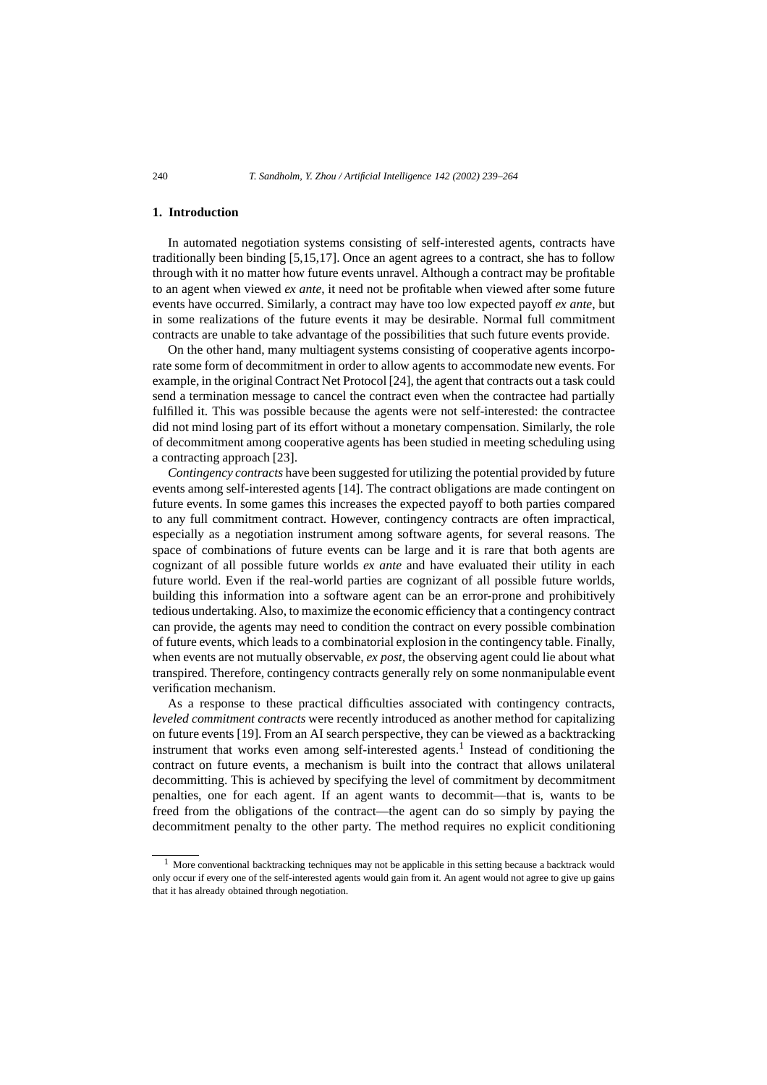# **1. Introduction**

In automated negotiation systems consisting of self-interested agents, contracts have traditionally been binding [5,15,17]. Once an agent agrees to a contract, she has to follow through with it no matter how future events unravel. Although a contract may be profitable to an agent when viewed *ex ante*, it need not be profitable when viewed after some future events have occurred. Similarly, a contract may have too low expected payoff *ex ante*, but in some realizations of the future events it may be desirable. Normal full commitment contracts are unable to take advantage of the possibilities that such future events provide.

On the other hand, many multiagent systems consisting of cooperative agents incorporate some form of decommitment in order to allow agents to accommodate new events. For example, in the original Contract Net Protocol [24], the agent that contracts out a task could send a termination message to cancel the contract even when the contractee had partially fulfilled it. This was possible because the agents were not self-interested: the contractee did not mind losing part of its effort without a monetary compensation. Similarly, the role of decommitment among cooperative agents has been studied in meeting scheduling using a contracting approach [23].

*Contingency contracts* have been suggested for utilizing the potential provided by future events among self-interested agents [14]. The contract obligations are made contingent on future events. In some games this increases the expected payoff to both parties compared to any full commitment contract. However, contingency contracts are often impractical, especially as a negotiation instrument among software agents, for several reasons. The space of combinations of future events can be large and it is rare that both agents are cognizant of all possible future worlds *ex ante* and have evaluated their utility in each future world. Even if the real-world parties are cognizant of all possible future worlds, building this information into a software agent can be an error-prone and prohibitively tedious undertaking. Also, to maximize the economic efficiency that a contingency contract can provide, the agents may need to condition the contract on every possible combination of future events, which leads to a combinatorial explosion in the contingency table. Finally, when events are not mutually observable, *ex post*, the observing agent could lie about what transpired. Therefore, contingency contracts generally rely on some nonmanipulable event verification mechanism.

As a response to these practical difficulties associated with contingency contracts, *leveled commitment contracts* were recently introduced as another method for capitalizing on future events [19]. From an AI search perspective, they can be viewed as a backtracking instrument that works even among self-interested agents.<sup>1</sup> Instead of conditioning the contract on future events, a mechanism is built into the contract that allows unilateral decommitting. This is achieved by specifying the level of commitment by decommitment penalties, one for each agent. If an agent wants to decommit—that is, wants to be freed from the obligations of the contract—the agent can do so simply by paying the decommitment penalty to the other party. The method requires no explicit conditioning

<sup>&</sup>lt;sup>1</sup> More conventional backtracking techniques may not be applicable in this setting because a backtrack would only occur if every one of the self-interested agents would gain from it. An agent would not agree to give up gains that it has already obtained through negotiation.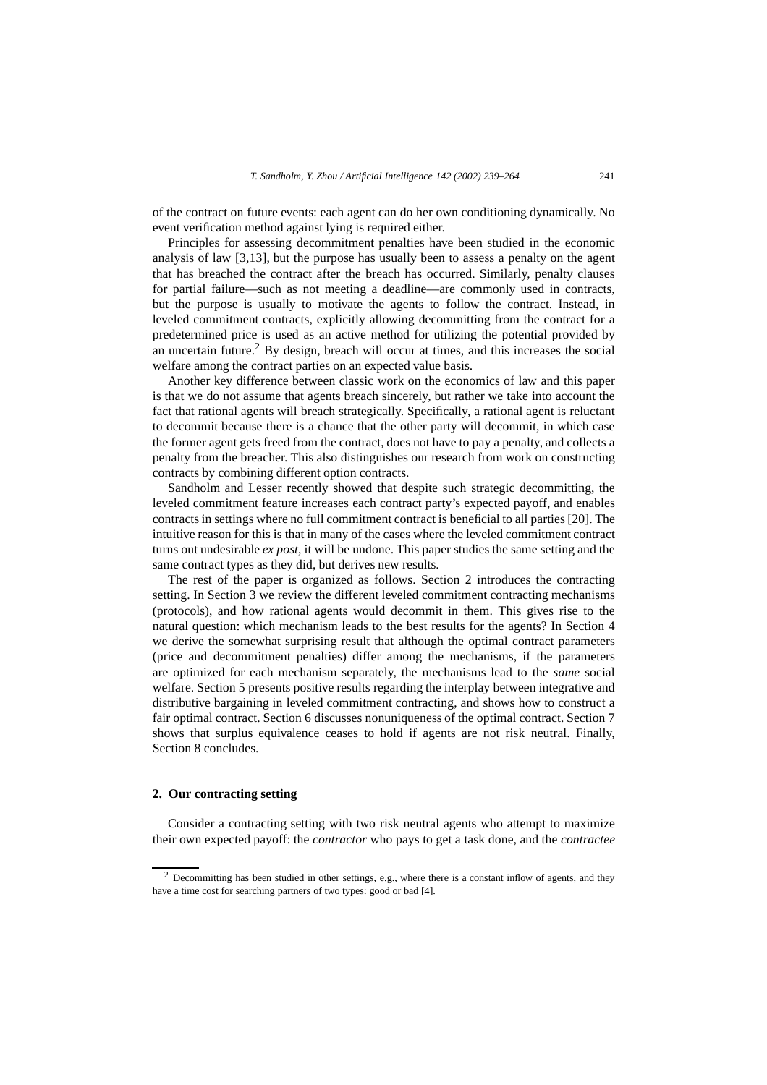of the contract on future events: each agent can do her own conditioning dynamically. No event verification method against lying is required either.

Principles for assessing decommitment penalties have been studied in the economic analysis of law [3,13], but the purpose has usually been to assess a penalty on the agent that has breached the contract after the breach has occurred. Similarly, penalty clauses for partial failure—such as not meeting a deadline—are commonly used in contracts, but the purpose is usually to motivate the agents to follow the contract. Instead, in leveled commitment contracts, explicitly allowing decommitting from the contract for a predetermined price is used as an active method for utilizing the potential provided by an uncertain future.<sup>2</sup> By design, breach will occur at times, and this increases the social welfare among the contract parties on an expected value basis.

Another key difference between classic work on the economics of law and this paper is that we do not assume that agents breach sincerely, but rather we take into account the fact that rational agents will breach strategically. Specifically, a rational agent is reluctant to decommit because there is a chance that the other party will decommit, in which case the former agent gets freed from the contract, does not have to pay a penalty, and collects a penalty from the breacher. This also distinguishes our research from work on constructing contracts by combining different option contracts.

Sandholm and Lesser recently showed that despite such strategic decommitting, the leveled commitment feature increases each contract party's expected payoff, and enables contracts in settings where no full commitment contract is beneficial to all parties [20]. The intuitive reason for this is that in many of the cases where the leveled commitment contract turns out undesirable *ex post*, it will be undone. This paper studies the same setting and the same contract types as they did, but derives new results.

The rest of the paper is organized as follows. Section 2 introduces the contracting setting. In Section 3 we review the different leveled commitment contracting mechanisms (protocols), and how rational agents would decommit in them. This gives rise to the natural question: which mechanism leads to the best results for the agents? In Section 4 we derive the somewhat surprising result that although the optimal contract parameters (price and decommitment penalties) differ among the mechanisms, if the parameters are optimized for each mechanism separately, the mechanisms lead to the *same* social welfare. Section 5 presents positive results regarding the interplay between integrative and distributive bargaining in leveled commitment contracting, and shows how to construct a fair optimal contract. Section 6 discusses nonuniqueness of the optimal contract. Section 7 shows that surplus equivalence ceases to hold if agents are not risk neutral. Finally, Section 8 concludes.

# **2. Our contracting setting**

Consider a contracting setting with two risk neutral agents who attempt to maximize their own expected payoff: the *contractor* who pays to get a task done, and the *contractee*

<sup>&</sup>lt;sup>2</sup> Decommitting has been studied in other settings, e.g., where there is a constant inflow of agents, and they have a time cost for searching partners of two types: good or bad [4].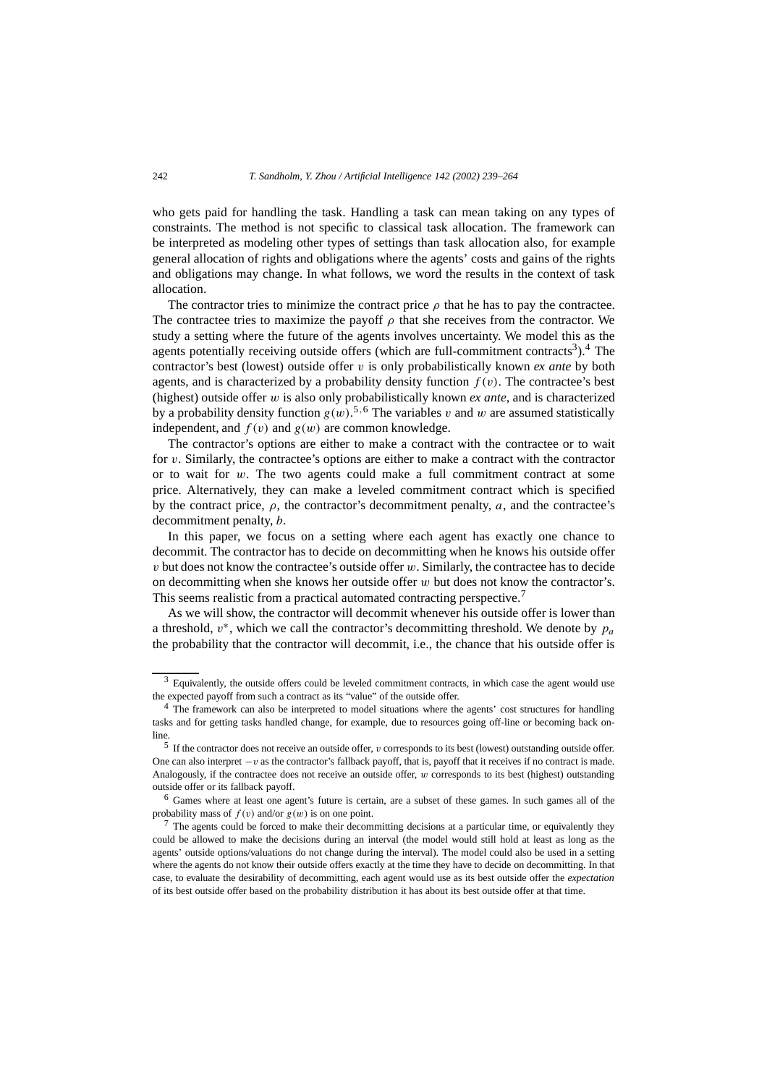who gets paid for handling the task. Handling a task can mean taking on any types of constraints. The method is not specific to classical task allocation. The framework can be interpreted as modeling other types of settings than task allocation also, for example general allocation of rights and obligations where the agents' costs and gains of the rights and obligations may change. In what follows, we word the results in the context of task allocation.

The contractor tries to minimize the contract price  $\rho$  that he has to pay the contractee. The contractee tries to maximize the payoff  $\rho$  that she receives from the contractor. We study a setting where the future of the agents involves uncertainty. We model this as the agents potentially receiving outside offers (which are full-commitment contracts<sup>3</sup>).<sup>4</sup> The contractor's best (lowest) outside offer *v* is only probabilistically known *ex ante* by both agents, and is characterized by a probability density function  $f(v)$ . The contractee's best (highest) outside offer *w* is also only probabilistically known *ex ante*, and is characterized by a probability density function  $g(w)$ .<sup>5,6</sup> The variables *v* and *w* are assumed statistically independent, and  $f(v)$  and  $g(w)$  are common knowledge.

The contractor's options are either to make a contract with the contractee or to wait for *v*. Similarly, the contractee's options are either to make a contract with the contractor or to wait for *w*. The two agents could make a full commitment contract at some price. Alternatively, they can make a leveled commitment contract which is specified by the contract price,  $\rho$ , the contractor's decommitment penalty,  $a$ , and the contractee's decommitment penalty, *b*.

In this paper, we focus on a setting where each agent has exactly one chance to decommit. The contractor has to decide on decommitting when he knows his outside offer *v* but does not know the contractee's outside offer *w*. Similarly, the contractee has to decide on decommitting when she knows her outside offer *w* but does not know the contractor's. This seems realistic from a practical automated contracting perspective.<sup>7</sup>

As we will show, the contractor will decommit whenever his outside offer is lower than a threshold,  $v^*$ , which we call the contractor's decommitting threshold. We denote by  $p_a$ the probability that the contractor will decommit, i.e., the chance that his outside offer is

 $3$  Equivalently, the outside offers could be leveled commitment contracts, in which case the agent would use the expected payoff from such a contract as its "value" of the outside offer.

<sup>4</sup> The framework can also be interpreted to model situations where the agents' cost structures for handling tasks and for getting tasks handled change, for example, due to resources going off-line or becoming back online.

<sup>5</sup> If the contractor does not receive an outside offer, *v* corresponds to its best (lowest) outstanding outside offer. One can also interpret  $-v$  as the contractor's fallback payoff, that is, payoff that it receives if no contract is made. Analogously, if the contractee does not receive an outside offer, *w* corresponds to its best (highest) outstanding outside offer or its fallback payoff.

<sup>6</sup> Games where at least one agent's future is certain, are a subset of these games. In such games all of the probability mass of  $f(v)$  and/or  $g(w)$  is on one point.

<sup>7</sup> The agents could be forced to make their decommitting decisions at a particular time, or equivalently they could be allowed to make the decisions during an interval (the model would still hold at least as long as the agents' outside options/valuations do not change during the interval). The model could also be used in a setting where the agents do not know their outside offers exactly at the time they have to decide on decommitting. In that case, to evaluate the desirability of decommitting, each agent would use as its best outside offer the *expectation* of its best outside offer based on the probability distribution it has about its best outside offer at that time.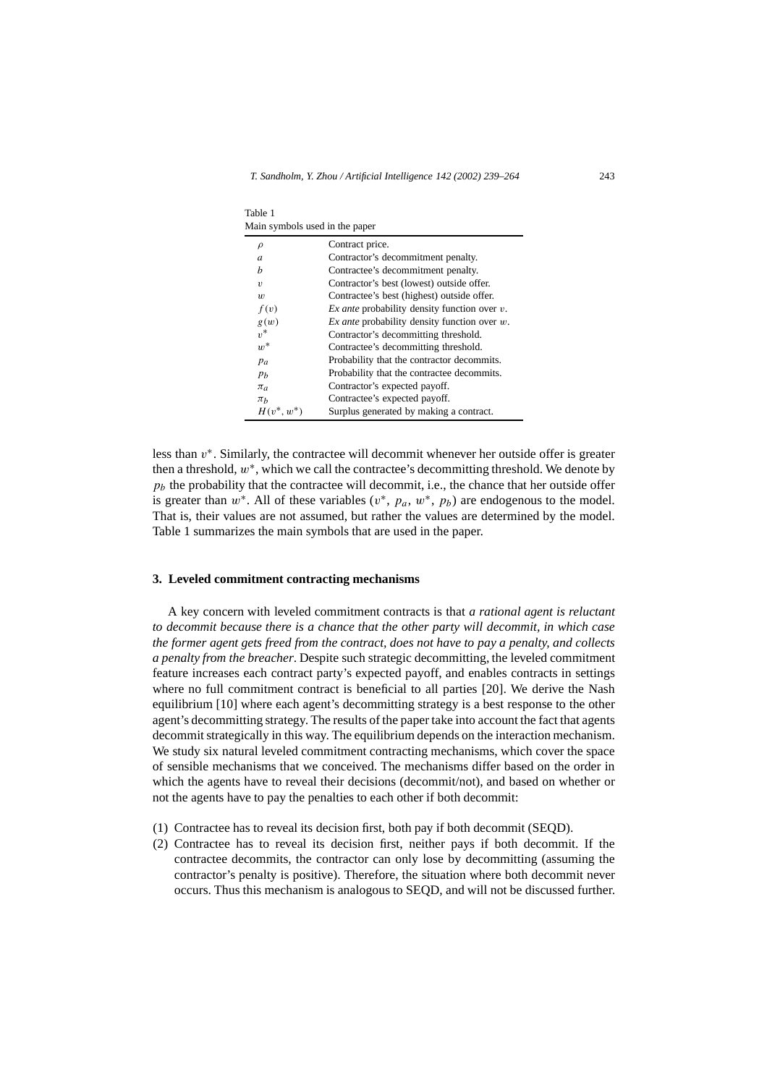| Table 1                        |  |
|--------------------------------|--|
| Main symbols used in the paper |  |

| $\rho$              | Contract price.                                 |
|---------------------|-------------------------------------------------|
| a                   | Contractor's decommitment penalty.              |
| h                   | Contractee's decommitment penalty.              |
| $\boldsymbol{\eta}$ | Contractor's best (lowest) outside offer.       |
| $\boldsymbol{w}$    | Contractee's best (highest) outside offer.      |
| f(v)                | Ex ante probability density function over $v$ . |
| g(w)                | Ex ante probability density function over $w$ . |
| $v^*$               | Contractor's decommitting threshold.            |
| $w^*$               | Contractee's decommitting threshold.            |
| $p_a$               | Probability that the contractor decommits.      |
| $p_h$               | Probability that the contractee decommits.      |
| $\pi_a$             | Contractor's expected payoff.                   |
| $\pi_h$             | Contractee's expected payoff.                   |
| $H(v^*, w^*)$       | Surplus generated by making a contract.         |
|                     |                                                 |

less than *v*∗. Similarly, the contractee will decommit whenever her outside offer is greater then a threshold,  $w^*$ , which we call the contractee's decommitting threshold. We denote by  $p_b$  the probability that the contractee will decommit, i.e., the chance that her outside offer is greater than  $w^*$ . All of these variables  $(v^*, p_a, w^*, p_b)$  are endogenous to the model. That is, their values are not assumed, but rather the values are determined by the model. Table 1 summarizes the main symbols that are used in the paper.

# **3. Leveled commitment contracting mechanisms**

A key concern with leveled commitment contracts is that *a rational agent is reluctant to decommit because there is a chance that the other party will decommit, in which case the former agent gets freed from the contract, does not have to pay a penalty, and collects a penalty from the breacher*. Despite such strategic decommitting, the leveled commitment feature increases each contract party's expected payoff, and enables contracts in settings where no full commitment contract is beneficial to all parties [20]. We derive the Nash equilibrium [10] where each agent's decommitting strategy is a best response to the other agent's decommitting strategy. The results of the paper take into account the fact that agents decommit strategically in this way. The equilibrium depends on the interaction mechanism. We study six natural leveled commitment contracting mechanisms, which cover the space of sensible mechanisms that we conceived. The mechanisms differ based on the order in which the agents have to reveal their decisions (decommit/not), and based on whether or not the agents have to pay the penalties to each other if both decommit:

- (1) Contractee has to reveal its decision first, both pay if both decommit (SEQD).
- (2) Contractee has to reveal its decision first, neither pays if both decommit. If the contractee decommits, the contractor can only lose by decommitting (assuming the contractor's penalty is positive). Therefore, the situation where both decommit never occurs. Thus this mechanism is analogous to SEQD, and will not be discussed further.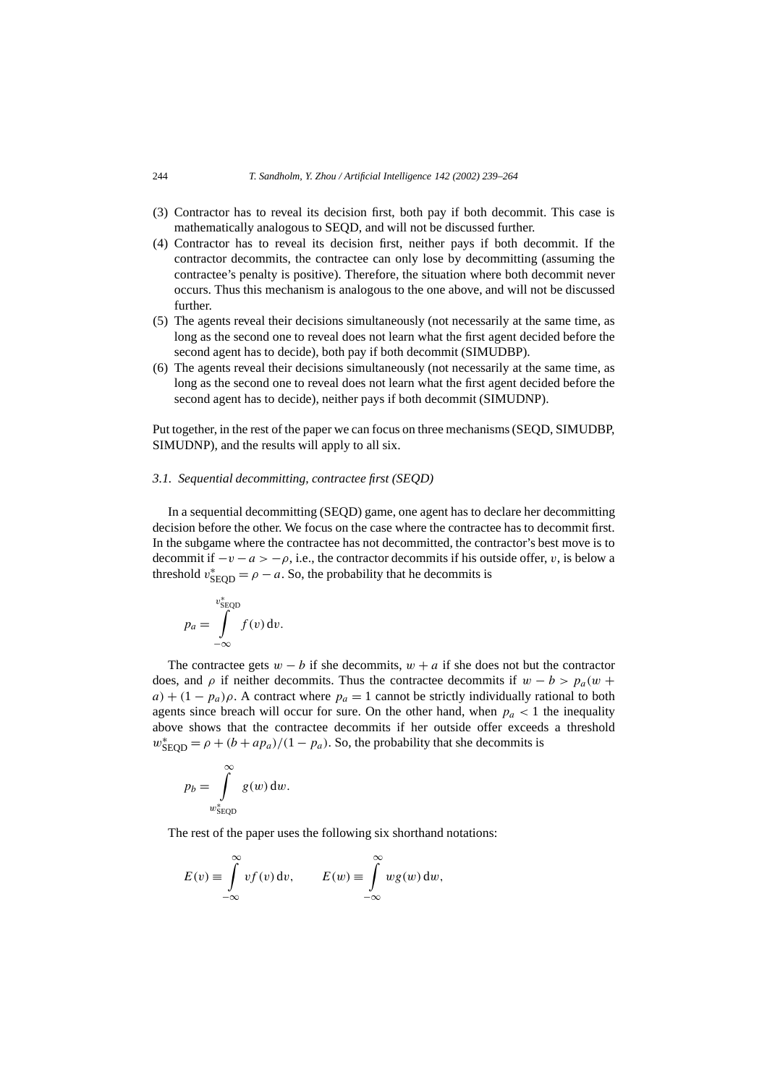- (3) Contractor has to reveal its decision first, both pay if both decommit. This case is mathematically analogous to SEQD, and will not be discussed further.
- (4) Contractor has to reveal its decision first, neither pays if both decommit. If the contractor decommits, the contractee can only lose by decommitting (assuming the contractee's penalty is positive). Therefore, the situation where both decommit never occurs. Thus this mechanism is analogous to the one above, and will not be discussed further.
- (5) The agents reveal their decisions simultaneously (not necessarily at the same time, as long as the second one to reveal does not learn what the first agent decided before the second agent has to decide), both pay if both decommit (SIMUDBP).
- (6) The agents reveal their decisions simultaneously (not necessarily at the same time, as long as the second one to reveal does not learn what the first agent decided before the second agent has to decide), neither pays if both decommit (SIMUDNP).

Put together, in the rest of the paper we can focus on three mechanisms (SEQD, SIMUDBP, SIMUDNP), and the results will apply to all six.

# *3.1. Sequential decommitting, contractee first (SEQD)*

In a sequential decommitting (SEQD) game, one agent has to declare her decommitting decision before the other. We focus on the case where the contractee has to decommit first. In the subgame where the contractee has not decommitted, the contractor's best move is to decommit if  $-v - a > -\rho$ , i.e., the contractor decommits if his outside offer, *v*, is below a threshold  $v_{\text{SEQD}}^* = \rho - a$ . So, the probability that he decommits is

$$
p_a = \int_{-\infty}^{v_{\text{SEQD}}^*} f(v) \, \mathrm{d}v.
$$

The contractee gets  $w - b$  if she decommits,  $w + a$  if she does not but the contractor does, and  $\rho$  if neither decommits. Thus the contractee decommits if  $w - b > p_a(w + c_a)$  $a) + (1 - p_a)\rho$ . A contract where  $p_a = 1$  cannot be strictly individually rational to both agents since breach will occur for sure. On the other hand, when  $p_a < 1$  the inequality above shows that the contractee decommits if her outside offer exceeds a threshold  $w_{\text{SEQD}}^* = \rho + (b + ap_a)/(1 - p_a)$ . So, the probability that she decommits is

$$
p_b = \int_{w_{\text{SEQD}}^*}^{\infty} g(w) \, \mathrm{d}w.
$$

The rest of the paper uses the following six shorthand notations:

$$
E(v) \equiv \int_{-\infty}^{\infty} vf(v) dv, \qquad E(w) \equiv \int_{-\infty}^{\infty} wg(w) dw,
$$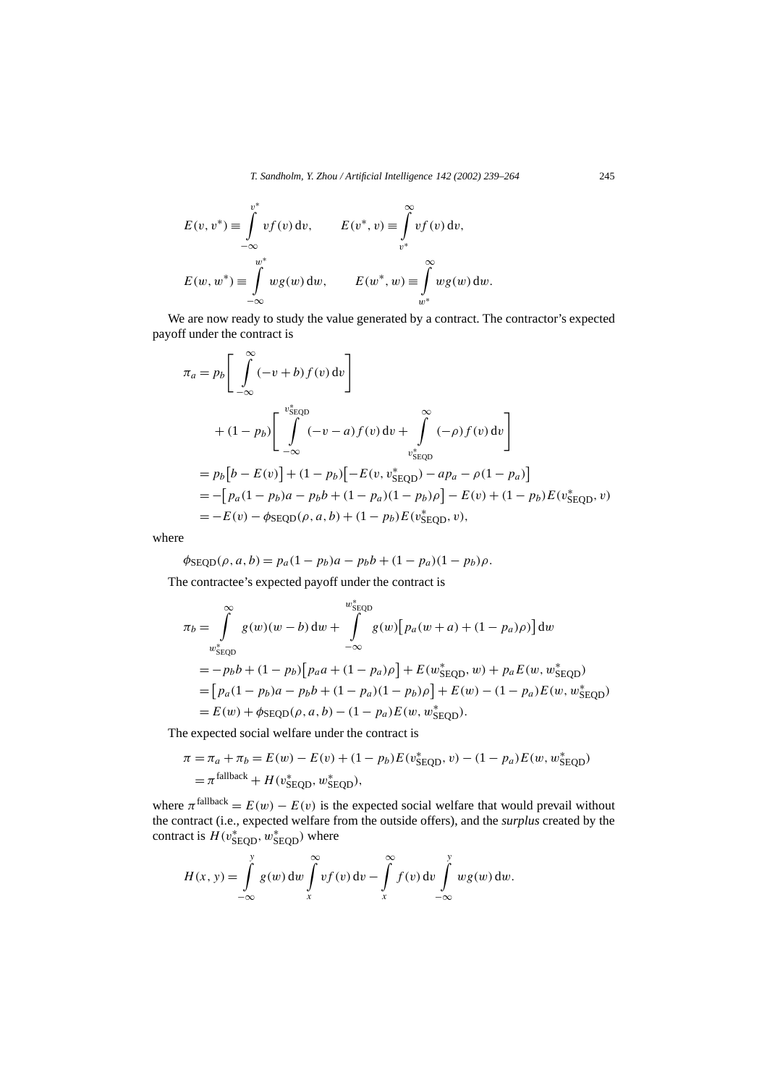*T. Sandholm, Y. Zhou / Artificial Intelligence 142 (2002) 239–264* 245

$$
E(v, v^*) \equiv \int_{-\infty}^{v^*} vf(v) dv, \qquad E(v^*, v) \equiv \int_{v^*}^{\infty} vf(v) dv,
$$
  

$$
E(w, w^*) \equiv \int_{-\infty}^{w^*} wg(w) dw, \qquad E(w^*, w) \equiv \int_{w^*}^{\infty} wg(w) dw.
$$

We are now ready to study the value generated by a contract. The contractor's expected payoff under the contract is

$$
\pi_a = p_b \left[ \int_{-\infty}^{\infty} (-v + b) f(v) dv \right]
$$
  
+  $(1 - p_b) \left[ \int_{-\infty}^{v_{\text{SEQD}}^{*}} (-v - a) f(v) dv + \int_{v_{\text{SEQD}}^{*}}^{\infty} (-\rho) f(v) dv \right]$   
=  $p_b [b - E(v)] + (1 - p_b) [-E(v, v_{\text{SEQD}}^{*}) - ap_a - \rho (1 - p_a)]$   
=  $-[p_a (1 - p_b) a - p_b b + (1 - p_a) (1 - p_b) \rho] - E(v) + (1 - p_b) E(v_{\text{SEQD}}^{*}, v)$   
=  $-E(v) - \phi_{\text{SEQD}}(\rho, a, b) + (1 - p_b) E(v_{\text{SEQD}}^{*}, v),$ 

where

$$
\phi_{\text{SEQD}}(\rho, a, b) = p_a(1 - p_b)a - p_b b + (1 - p_a)(1 - p_b)\rho.
$$

The contractee's expected payoff under the contract is

$$
\pi_b = \int_{w_{\text{SEQD}}^*}^{\infty} g(w)(w - b) \, dw + \int_{-\infty}^{w_{\text{SEQD}}^*} g(w) [p_a(w + a) + (1 - p_a)\rho)] \, dw
$$
  
\n
$$
= -p_b b + (1 - p_b) [p_a a + (1 - p_a)\rho] + E(w_{\text{SEQD}}^*, w) + p_a E(w, w_{\text{SEQD}}^*)
$$
  
\n
$$
= [p_a(1 - p_b)a - pb + (1 - p_a)(1 - pb)\rho] + E(w) - (1 - p_a)E(w, w_{\text{SEQD}}^*)
$$
  
\n
$$
= E(w) + \phi_{\text{SEQD}}(\rho, a, b) - (1 - p_a)E(w, w_{\text{SEQD}}^*).
$$

The expected social welfare under the contract is

$$
\pi = \pi_a + \pi_b = E(w) - E(v) + (1 - p_b)E(v_{\text{SEQD}}^*, v) - (1 - p_a)E(w, w_{\text{SEQD}}^*)
$$
  
=  $\pi^{\text{fallback}} + H(v_{\text{SEQD}}^*, w_{\text{SEQD}}^*),$ 

where  $\pi$ <sup>fallback</sup> =  $E(w) - E(v)$  is the expected social welfare that would prevail without the contract (i.e., expected welfare from the outside offers), and the *surplus* created by the contract is  $H(v_{\text{SEQD}}^*, w_{\text{SEQD}}^*)$  where

$$
H(x, y) = \int_{-\infty}^{y} g(w) dw \int_{x}^{\infty} vf(v) dv - \int_{x}^{\infty} f(v) dv \int_{-\infty}^{y} wg(w) dw.
$$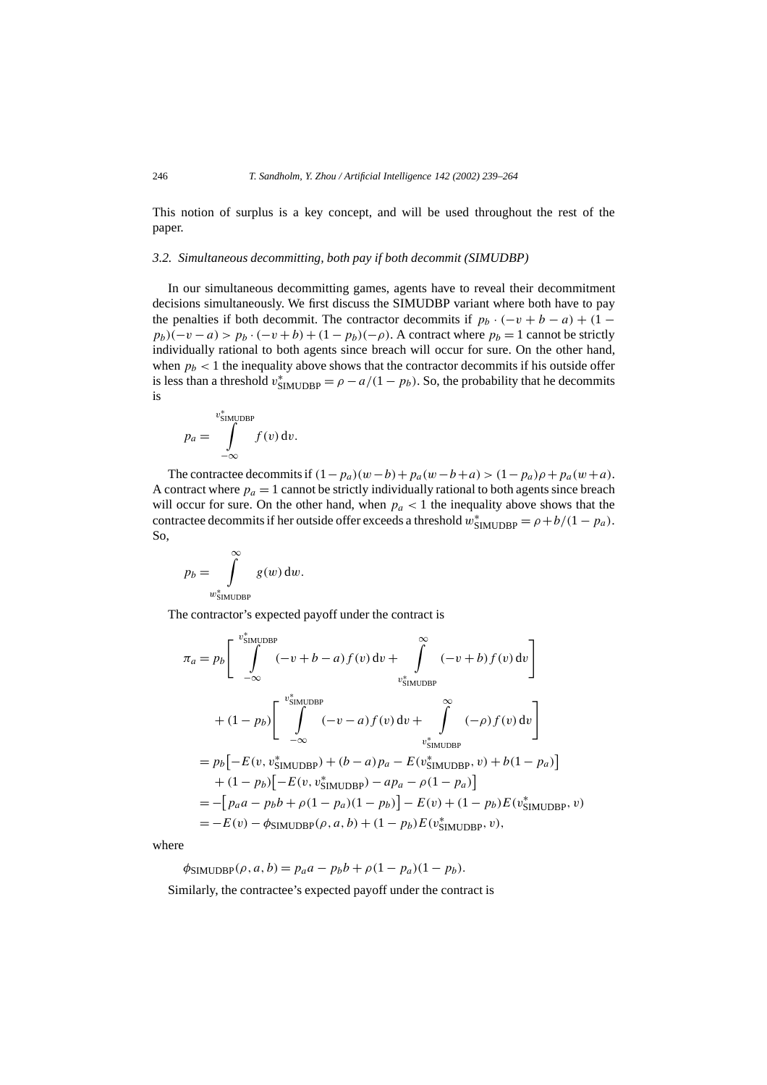This notion of surplus is a key concept, and will be used throughout the rest of the paper.

## *3.2. Simultaneous decommitting, both pay if both decommit (SIMUDBP)*

In our simultaneous decommitting games, agents have to reveal their decommitment decisions simultaneously. We first discuss the SIMUDBP variant where both have to pay the penalties if both decommit. The contractor decommits if  $p_b \cdot (-v + b - a) + (1 - a)$  $p_b$ )(−*v* − *a*) >  $p_b$  · (−*v* + *b*) + (1 −  $p_b$ )(− $\rho$ ). A contract where  $p_b$  = 1 cannot be strictly individually rational to both agents since breach will occur for sure. On the other hand, when  $p_b < 1$  the inequality above shows that the contractor decommits if his outside offer is less than a threshold  $v_{SIMUDBP}^* = \rho - a/(1 - p_b)$ . So, the probability that he decommits is

$$
p_a = \int_{-\infty}^{v_{\text{SIMUDBP}}^*} f(v) \, \mathrm{d}v.
$$

The contractee decommits if  $(1 - p_a)(w - b) + p_a(w - b + a) > (1 - p_a)\rho + p_a(w + a)$ . A contract where  $p_a = 1$  cannot be strictly individually rational to both agents since breach will occur for sure. On the other hand, when  $p_a < 1$  the inequality above shows that the contractee decommits if her outside offer exceeds a threshold  $w^*_{SIMUDBP} = \rho + b/(1 - p_a)$ . So,

$$
p_b = \int_{w_{\text{SIMUDBP}}^*}^{\infty} g(w) \, \mathrm{d}w.
$$

The contractor's expected payoff under the contract is

$$
\pi_{a} = p_{b} \left[ \int_{-\infty}^{v_{\text{SIMUDBP}}^{*}} (-v+b-a) f(v) dv + \int_{v_{\text{SIMUDBP}}^{*}}^{w} (-v+b) f(v) dv \right]
$$
\n
$$
+ (1-p_{b}) \left[ \int_{-\infty}^{v_{\text{SIMUDBP}}^{*}} (-v-a) f(v) dv + \int_{v_{\text{SIMUDBP}}^{*}}^{w} (-\rho) f(v) dv \right]
$$
\n
$$
= p_{b} [-E(v, v_{\text{SIMUDBP}}^{*}) + (b-a) p_{a} - E(v_{\text{SIMUDBP}}^{*}, v) + b(1-p_{a}) ]
$$
\n
$$
+ (1-p_{b}) [-E(v, v_{\text{SIMUDBP}}^{*}) - ap_{a} - \rho (1-p_{a}) ]
$$
\n
$$
= -[p_{a}a - p_{b}b + \rho (1-p_{a})(1-p_{b})] - E(v) + (1-p_{b}) E(v_{\text{SIMUDBP}}^{*}, v)
$$
\n
$$
= -E(v) - \phi_{\text{SIMUDBP}}(\rho, a, b) + (1-p_{b}) E(v_{\text{SIMUDBP}}^{*}, v),
$$

where

$$
\phi_{SIMUDBP}(\rho, a, b) = p_a a - p_b b + \rho (1 - p_a)(1 - p_b).
$$

Similarly, the contractee's expected payoff under the contract is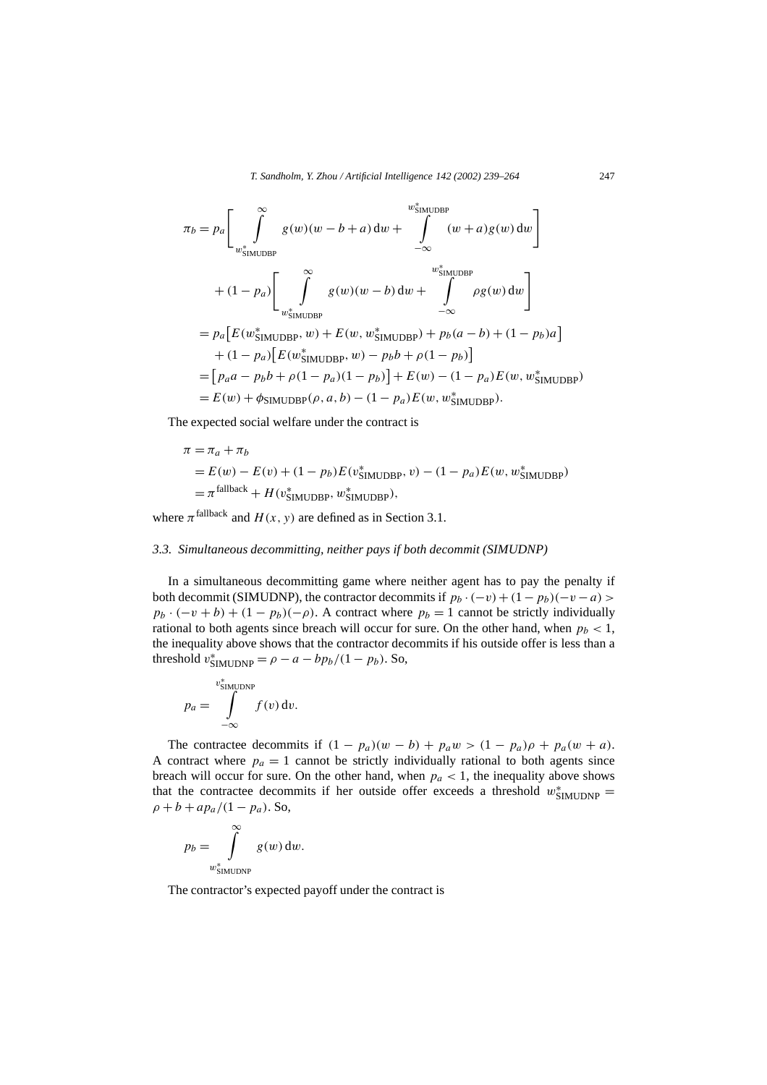$$
\pi_{b} = p_{a} \left[ \int_{w_{\text{SIMUDBP}}^{*}}^{\infty} g(w)(w - b + a) \, dw + \int_{-\infty}^{w_{\text{SIMUDBP}}^{*}} (w + a)g(w) \, dw \right]
$$
\n
$$
+ (1 - p_{a}) \left[ \int_{w_{\text{SIMUDBP}}^{*}}^{\infty} g(w)(w - b) \, dw + \int_{-\infty}^{w_{\text{SIMUDBP}}^{*}} \rho g(w) \, dw \right]
$$
\n
$$
= p_{a} \left[ E(w_{\text{SIMUDBP}}^{*}, w) + E(w, w_{\text{SIMUDBP}}^{*}) + p_{b}(a - b) + (1 - p_{b})a \right]
$$
\n
$$
+ (1 - p_{a}) \left[ E(w_{\text{SIMUDBP}}^{*}, w) - p_{b}b + \rho(1 - p_{b}) \right]
$$
\n
$$
= \left[ p_{a}a - p_{b}b + \rho(1 - p_{a})(1 - p_{b}) \right] + E(w) - (1 - p_{a})E(w, w_{\text{SIMUDBP}}^{*})
$$
\n
$$
= E(w) + \phi_{\text{SIMUDBP}}(\rho, a, b) - (1 - p_{a})E(w, w_{\text{SIMUDBP}}^{*}).
$$

The expected social welfare under the contract is

$$
\pi = \pi_a + \pi_b
$$
  
=  $E(w) - E(v) + (1 - p_b)E(v_{SIMUDBP}^*, v) - (1 - p_a)E(w, w_{SIMUDBP}^*)$   
=  $\pi^{\text{fallback}} + H(v_{SIMUDBP}^*, w_{SIMUDBP}^*)$ ,

where  $\pi$ <sup>fallback</sup> and  $H(x, y)$  are defined as in Section 3.1.

# *3.3. Simultaneous decommitting, neither pays if both decommit (SIMUDNP)*

In a simultaneous decommitting game where neither agent has to pay the penalty if both decommit (SIMUDNP), the contractor decommits if  $p_b \cdot (-v) + (1 - p_b)(-v - a)$  $p_b \cdot (-v + b) + (1 - p_b)(-\rho)$ . A contract where  $p_b = 1$  cannot be strictly individually rational to both agents since breach will occur for sure. On the other hand, when  $p_b < 1$ , the inequality above shows that the contractor decommits if his outside offer is less than a threshold  $v_{SIMUDNP}^* = \rho - a - bp_b/(1 - p_b)$ . So,

$$
p_a = \int_{-\infty}^{v_{\text{SIMUDNP}}^*} f(v) \, \mathrm{d}v.
$$

The contractee decommits if  $(1 - p_a)(w - b) + p_a w > (1 - p_a)\rho + p_a(w + a)$ . A contract where  $p_a = 1$  cannot be strictly individually rational to both agents since breach will occur for sure. On the other hand, when  $p_a < 1$ , the inequality above shows that the contractee decommits if her outside offer exceeds a threshold  $w^*_{SIMUDNP}$  =  $\rho + b + ap_a/(1 - p_a)$ . So,

$$
p_b = \int_{w_{\text{SIMUDNP}}^*}^{\infty} g(w) \, \mathrm{d}w.
$$

The contractor's expected payoff under the contract is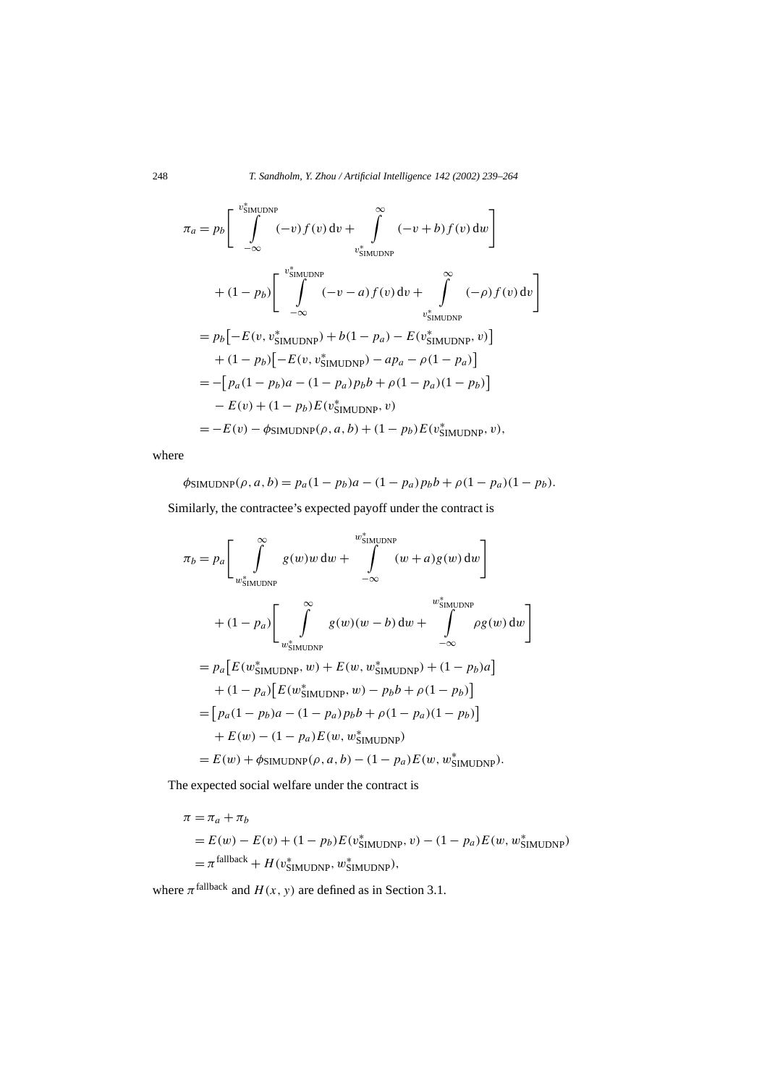$$
\pi_{a} = p_{b} \left[ \int_{-\infty}^{v_{\text{SIMUDNP}}^{*}} (-v) f(v) dv + \int_{v_{\text{SIMUDNP}}^{*}}^{w} (-v+b) f(v) dw \right]
$$
  
+  $(1 - p_{b}) \left[ \int_{-\infty}^{v_{\text{SIMUDNP}}^{*}} (-v-a) f(v) dv + \int_{v_{\text{SIMUDNP}}^{*}}^{w} (-\rho) f(v) dv \right]$   
=  $p_{b} \left[ -E(v, v_{\text{SIMUDNP}}^{*}) + b(1-p_{a}) - E(v_{\text{SIMUDNP}}^{*}, v) \right]$   
+  $(1 - p_{b}) \left[ -E(v, v_{\text{SIMUDNP}}^{*}) - ap_{a} - \rho(1-p_{a}) \right]$   
=  $- \left[ p_{a} (1-p_{b}) a - (1-p_{a}) p_{b} b + \rho (1-p_{a}) (1-p_{b}) \right]$   
-  $E(v) + (1-p_{b}) E(v_{\text{SIMUDNP}}^{*}, v)$   
=  $-E(v) - \phi_{\text{SIMUDNP}}(\rho, a, b) + (1-p_{b}) E(v_{\text{SIMUDNP}}^{*}, v),$ 

where

$$
\phi_{\text{SIMUDNP}}(\rho, a, b) = p_a (1 - p_b) a - (1 - p_a) p_b b + \rho (1 - p_a) (1 - p_b).
$$

Similarly, the contractee's expected payoff under the contract is

$$
\pi_b = p_a \left[ \int_{w_{\text{SIMUDNP}}^*}^{\infty} g(w)w dw + \int_{-\infty}^{w_{\text{SIMUDNP}}^*} (w + a)g(w) dw \right]
$$
  
+ 
$$
(1 - p_a) \left[ \int_{w_{\text{SIMUDNP}}^*}^{\infty} g(w) (w - b) dw + \int_{-\infty}^{w_{\text{SIMUDNP}}^*} \rho g(w) dw \right]
$$
  
= 
$$
p_a \left[ E(w_{\text{SIMUDNP}}^*, w) + E(w, w_{\text{SIMUDNP}}^*) + (1 - p_b)a \right]
$$
  
+ 
$$
(1 - p_a) \left[ E(w_{\text{SIMUDNP}}^*, w) - p_b b + \rho (1 - p_b) \right]
$$
  
= 
$$
\left[ p_a (1 - p_b)a - (1 - p_a) p_b b + \rho (1 - p_a) (1 - p_b) \right]
$$
  
+ 
$$
E(w) - (1 - p_a) E(w, w_{\text{SIMUDNP}}^*)
$$
  
= 
$$
E(w) + \phi_{\text{SIMUDNP}}(\rho, a, b) - (1 - p_a) E(w, w_{\text{SIMUDNP}}^*)
$$
.

The expected social welfare under the contract is

$$
\pi = \pi_a + \pi_b
$$
  
=  $E(w) - E(v) + (1 - p_b)E(v_{SIMUDNP}^*, v) - (1 - p_a)E(w, w_{SIMUDNP}^*)$   
=  $\pi^{fallback} + H(v_{SIMUDNP}^*, w_{SIMUDNP}^*)$ ,

where  $\pi$ <sup>fallback</sup> and  $H(x, y)$  are defined as in Section 3.1.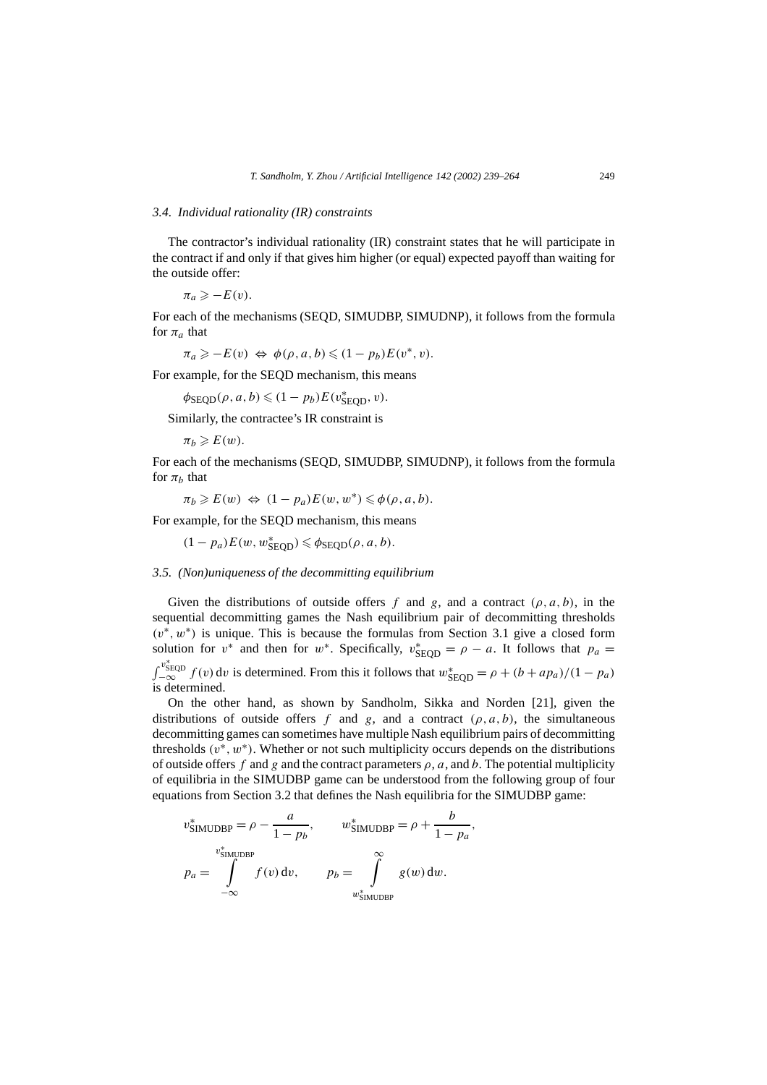#### *3.4. Individual rationality (IR) constraints*

The contractor's individual rationality (IR) constraint states that he will participate in the contract if and only if that gives him higher (or equal) expected payoff than waiting for the outside offer:

$$
\pi_a\geq -E(v).
$$

For each of the mechanisms (SEQD, SIMUDBP, SIMUDNP), it follows from the formula for  $\pi_a$  that

$$
\pi_a \geqslant -E(v) \iff \phi(\rho, a, b) \leqslant (1 - p_b)E(v^*, v).
$$

For example, for the SEQD mechanism, this means

$$
\phi_{\text{SEQD}}(\rho, a, b) \leq (1 - p_b) E(v_{\text{SEQD}}^*, v).
$$

Similarly, the contractee's IR constraint is

 $\pi_b \geqslant E(w).$ 

For each of the mechanisms (SEQD, SIMUDBP, SIMUDNP), it follows from the formula for  $\pi_b$  that

$$
\pi_b \geqslant E(w) \iff (1 - p_a)E(w, w^*) \leqslant \phi(\rho, a, b).
$$

For example, for the SEQD mechanism, this means

 $(1 - p_a)E(w, w^*_{\text{SEQD}}) \leq \phi_{\text{SEQD}}(\rho, a, b).$ 

#### *3.5. (Non)uniqueness of the decommitting equilibrium*

Given the distributions of outside offers  $f$  and  $g$ , and a contract  $(\rho, a, b)$ , in the sequential decommitting games the Nash equilibrium pair of decommitting thresholds *(v*∗*, w*∗*)* is unique. This is because the formulas from Section 3.1 give a closed form solution for *v*<sup>\*</sup> and then for *w*<sup>\*</sup>. Specifically,  $v_{\text{SEQD}}^* = \rho - a$ . It follows that  $p_a =$  $\int_{-\infty}^{v_{\text{SEQD}}^{*}} f(v) dv$  is determined. From this it follows that  $w_{\text{SEQD}}^{*} = \rho + (b + ap_a)/(1 - pa)$ is determined.

On the other hand, as shown by Sandholm, Sikka and Norden [21], given the distributions of outside offers *f* and *g*, and a contract  $(\rho, a, b)$ , the simultaneous decommitting games can sometimes have multiple Nash equilibrium pairs of decommitting thresholds *(v*∗*, w*∗*)*. Whether or not such multiplicity occurs depends on the distributions of outside offers  $f$  and  $g$  and the contract parameters  $\rho$ ,  $a$ , and  $b$ . The potential multiplicity of equilibria in the SIMUDBP game can be understood from the following group of four equations from Section 3.2 that defines the Nash equilibria for the SIMUDBP game:

*,*

$$
v_{\text{SIMUDBP}}^{*} = \rho - \frac{a}{1 - p_b}, \qquad w_{\text{SIMUDBP}}^{*} = \rho + \frac{b}{1 - p_a}
$$

$$
p_a = \int_{-\infty}^{v_{\text{SIMUDBP}}^{*}} f(v) dv, \qquad p_b = \int_{w_{\text{SIMUDBP}}^{*}}^{\infty} g(w) dw.
$$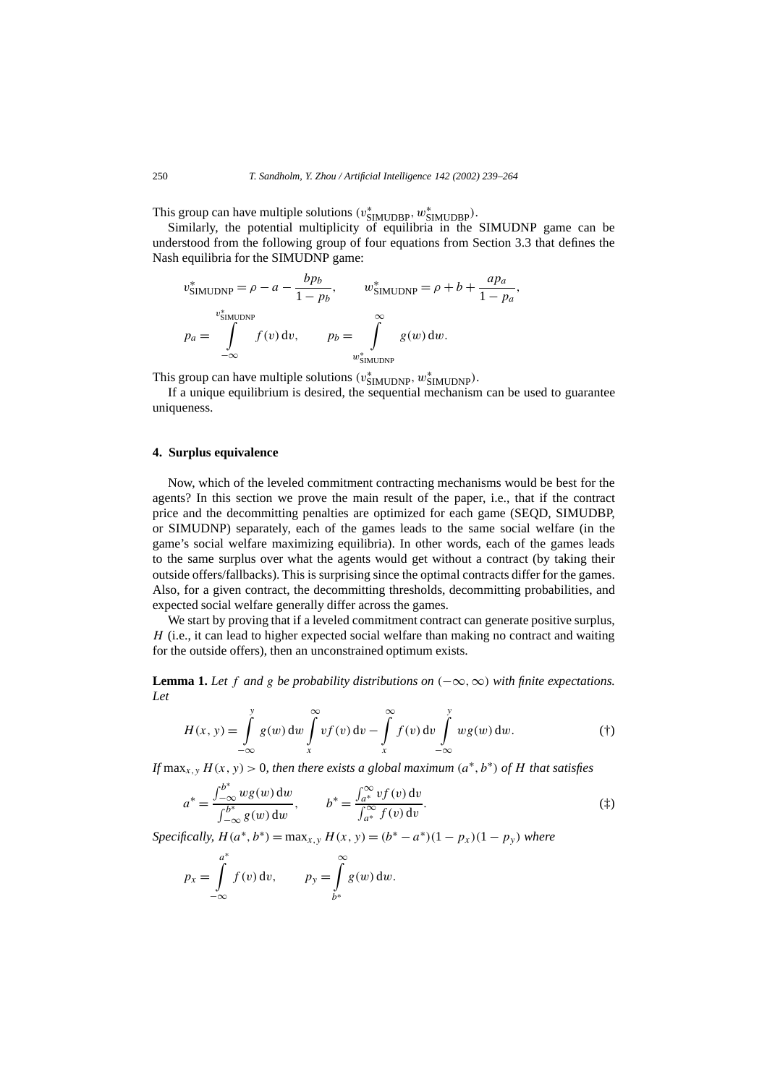This group can have multiple solutions  $(v_{SIMUDBP}^*, w_{SIMUDBP}^*)$ .

Similarly, the potential multiplicity of equilibria in the SIMUDNP game can be understood from the following group of four equations from Section 3.3 that defines the Nash equilibria for the SIMUDNP game:

*,*

$$
v_{SIMUDNP}^{*} = \rho - a - \frac{bp_b}{1 - p_b}, \qquad w_{SIMUDNP}^{*} = \rho + b + \frac{ap_a}{1 - p_a}
$$
  

$$
p_a = \int_{-\infty}^{v_{SIMUDNP}^{*}} f(v) dv, \qquad p_b = \int_{w_{SIMUDNP}^{*}}^{x} g(w) dw.
$$

This group can have multiple solutions  $(v_{SIMUDNP}^*, w_{SIMUDNP}^*)$ .

If a unique equilibrium is desired, the sequential mechanism can be used to guarantee uniqueness.

# **4. Surplus equivalence**

Now, which of the leveled commitment contracting mechanisms would be best for the agents? In this section we prove the main result of the paper, i.e., that if the contract price and the decommitting penalties are optimized for each game (SEQD, SIMUDBP, or SIMUDNP) separately, each of the games leads to the same social welfare (in the game's social welfare maximizing equilibria). In other words, each of the games leads to the same surplus over what the agents would get without a contract (by taking their outside offers/fallbacks). This is surprising since the optimal contracts differ for the games. Also, for a given contract, the decommitting thresholds, decommitting probabilities, and expected social welfare generally differ across the games.

We start by proving that if a leveled commitment contract can generate positive surplus, *H* (i.e., it can lead to higher expected social welfare than making no contract and waiting for the outside offers), then an unconstrained optimum exists.

**Lemma 1.** Let *f* and *g* be probability distributions on  $(-\infty, \infty)$  with finite expectations. *Let*

$$
H(x, y) = \int_{-\infty}^{y} g(w) dw \int_{x}^{\infty} vf(v) dv - \int_{x}^{\infty} f(v) dv \int_{-\infty}^{y} wg(w) dw.
$$
 (†)

*If*  $\max_{x,y} H(x, y) > 0$ , then there exists a global maximum  $(a^*, b^*)$  of H that satisfies

$$
a^* = \frac{\int_{-\infty}^{b^*} w g(w) dw}{\int_{-\infty}^{b^*} g(w) dw}, \qquad b^* = \frac{\int_{a^*}^{\infty} vf(v) dv}{\int_{a^*}^{\infty} f(v) dv}.
$$
 (1)

*Specifically,*  $H(a^*, b^*) = \max_{x,y} H(x, y) = (b^* - a^*)(1 - p_x)(1 - p_y)$  *where* 

$$
p_x = \int_{-\infty}^{a^*} f(v) dv, \qquad p_y = \int_{b^*}^{\infty} g(w) dw.
$$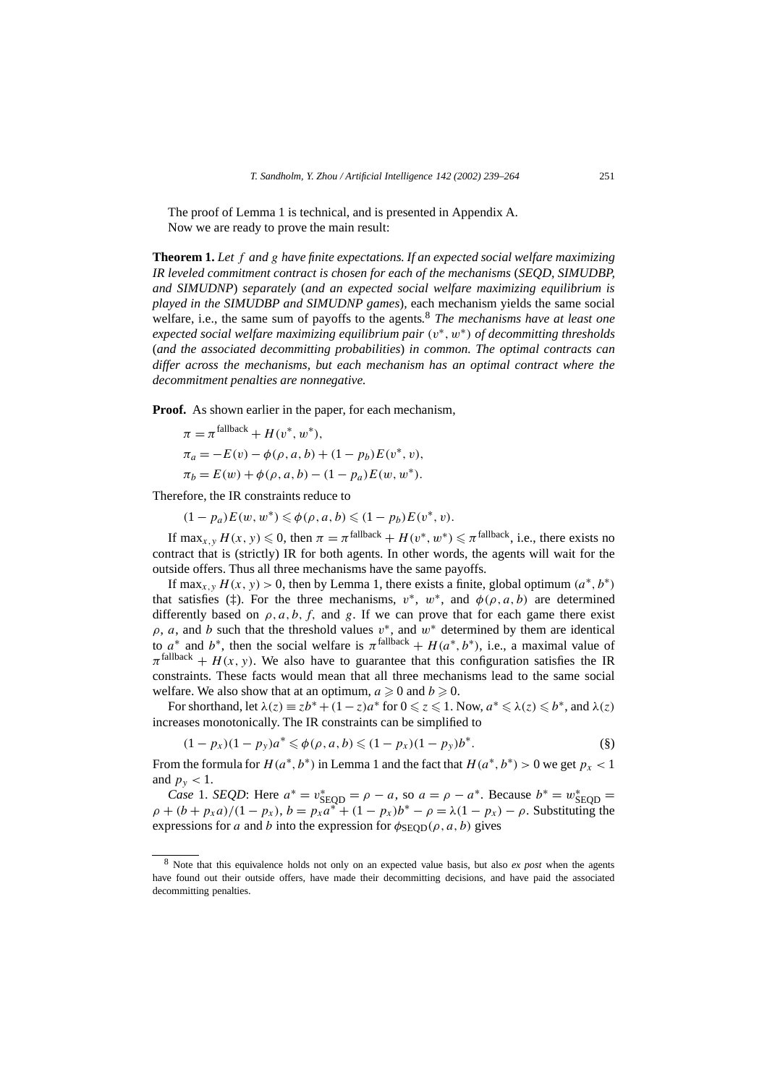The proof of Lemma 1 is technical, and is presented in Appendix A. Now we are ready to prove the main result:

**Theorem 1.** *Let f and g have finite expectations. If an expected social welfare maximizing IR leveled commitment contract is chosen for each of the mechanisms* (*SEQD, SIMUDBP, and SIMUDNP*) *separately* (*and an expected social welfare maximizing equilibrium is played in the SIMUDBP and SIMUDNP games*)*,* each mechanism yields the same social welfare, i.e., the same sum of payoffs to the agents*.* <sup>8</sup> *The mechanisms have at least one expected social welfare maximizing equilibrium pair (v*∗*, w*∗*) of decommitting thresholds* (*and the associated decommitting probabilities*) *in common. The optimal contracts can differ across the mechanisms, but each mechanism has an optimal contract where the decommitment penalties are nonnegative.*

**Proof.** As shown earlier in the paper, for each mechanism,

$$
\pi = \pi^{\text{fallback}} + H(v^*, w^*),
$$
  
\n
$$
\pi_a = -E(v) - \phi(\rho, a, b) + (1 - p_b)E(v^*, v),
$$
  
\n
$$
\pi_b = E(w) + \phi(\rho, a, b) - (1 - p_a)E(w, w^*).
$$

Therefore, the IR constraints reduce to

 $(1 - p_a)E(w, w^*) \leq \phi(\rho, a, b) \leq (1 - p_b)E(v^*, v).$ 

If max<sub>*x*, *y*</sub>  $H(x, y) \le 0$ , then  $\pi = \pi$ <sup>fallback</sup> +  $H(v^*, w^*) \le \pi$ <sup>fallback</sup>, i.e., there exists no contract that is (strictly) IR for both agents. In other words, the agents will wait for the outside offers. Thus all three mechanisms have the same payoffs.

If max<sub>*x*, *y*</sub>  $H(x, y) > 0$ , then by Lemma 1, there exists a finite, global optimum  $(a^*, b^*)$ that satisfies ( $\ddagger$ ). For the three mechanisms,  $v^*$ ,  $w^*$ , and  $\phi(\rho, a, b)$  are determined differently based on  $\rho$ ,  $a$ ,  $b$ ,  $f$ , and  $g$ . If we can prove that for each game there exist *ρ*, *a*, and *b* such that the threshold values *v*∗, and *w*<sup>∗</sup> determined by them are identical to  $a^*$  and  $b^*$ , then the social welfare is  $\pi^{\text{fallback}} + H(a^*, b^*)$ , i.e., a maximal value of  $\pi$ <sup>fallback</sup> + *H*(x, y). We also have to guarantee that this configuration satisfies the IR constraints. These facts would mean that all three mechanisms lead to the same social welfare. We also show that at an optimum,  $a \ge 0$  and  $b \ge 0$ .

For shorthand, let  $\lambda(z) \equiv zb^* + (1 - z)a^*$  for  $0 \le z \le 1$ . Now,  $a^* \le \lambda(z) \le b^*$ , and  $\lambda(z)$ increases monotonically. The IR constraints can be simplified to

$$
(1 - p_x)(1 - p_y)a^* \leq \phi(\rho, a, b) \leq (1 - p_x)(1 - p_y)b^*.
$$
 (§)

From the formula for  $H(a^*, b^*)$  in Lemma 1 and the fact that  $H(a^*, b^*) > 0$  we get  $p_x < 1$ and  $p_y < 1$ .

*Case* 1. *SEQD*: Here  $a^* = v_{\text{SEQD}}^* = \rho - a$ , so  $a = \rho - a^*$ . Because  $b^* = w_{\text{SEQD}}^* = a$  $\rho + (b + p_x a)/(1 - p_x), b = p_x a^* + (1 - p_x) b^* - \rho = \lambda (1 - p_x) - \rho$ . Substituting the expressions for *a* and *b* into the expression for  $\phi_{\text{SED}}(\rho, a, b)$  gives

<sup>8</sup> Note that this equivalence holds not only on an expected value basis, but also *ex post* when the agents have found out their outside offers, have made their decommitting decisions, and have paid the associated decommitting penalties.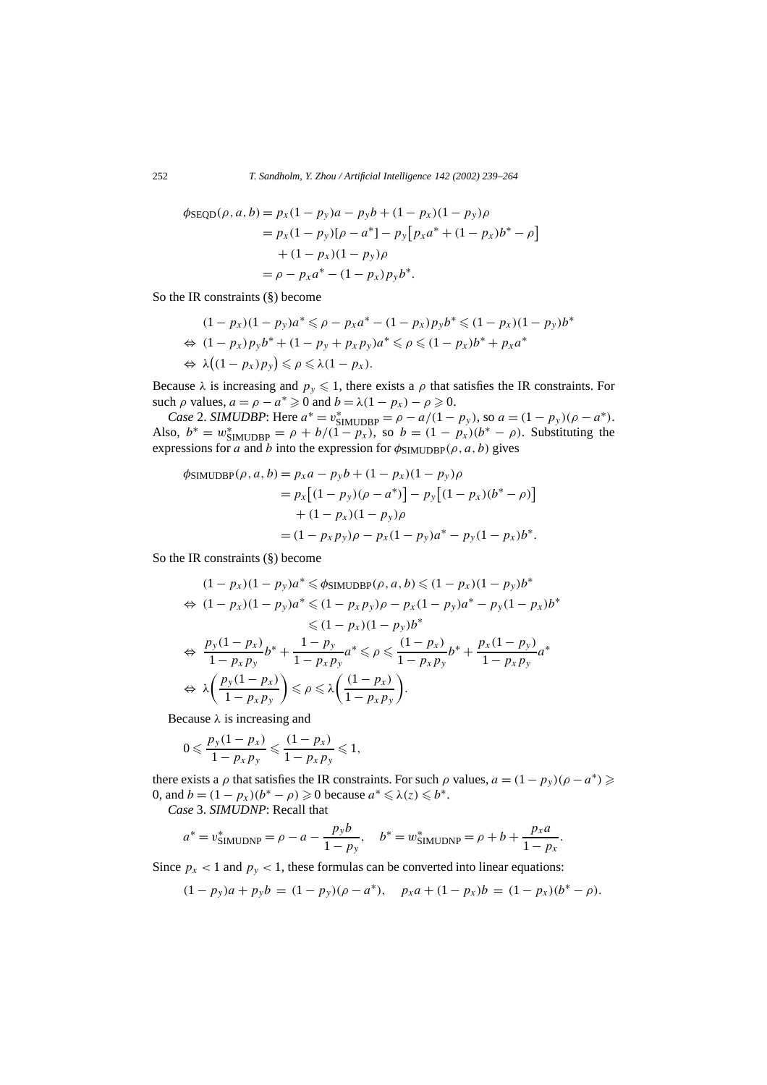$$
\phi_{\text{SEQD}}(\rho, a, b) = p_x (1 - p_y)a - p_y b + (1 - p_x)(1 - p_y)\rho
$$
  
=  $p_x (1 - p_y)[\rho - a^*] - p_y[p_x a^* + (1 - p_x)b^* - \rho]$   
+  $(1 - p_x)(1 - p_y)\rho$   
=  $\rho - p_x a^* - (1 - p_x)p_y b^*.$ 

So the IR constraints (§) become

$$
(1 - p_x)(1 - p_y)a^* \le \rho - p_x a^* - (1 - p_x)p_y b^* \le (1 - p_x)(1 - p_y)b^*
$$
  
\n
$$
\Leftrightarrow (1 - p_x)p_y b^* + (1 - p_y + p_x p_y)a^* \le \rho \le (1 - p_x)b^* + p_x a^*
$$
  
\n
$$
\Leftrightarrow \lambda((1 - p_x)p_y) \le \rho \le \lambda(1 - p_x).
$$

Because  $\lambda$  is increasing and  $p_y \leq 1$ , there exists a  $\rho$  that satisfies the IR constraints. For such  $\rho$  values,  $a = \rho - a^* \ge 0$  and  $b = \lambda(1 - p_x) - \rho \ge 0$ .

*Case* 2. *SIMUDBP*: Here  $a^* = v_{SIMUDBP}^* = \rho - a/(1 - p_y)$ , so  $a = (1 - p_y)(\rho - a^*)$ . Also,  $b^* = w^*_{SIMUDBP} = \rho + b/(1 - p_x)$ , so  $b = (1 - p_x)(b^* - \rho)$ . Substituting the expressions for *a* and *b* into the expression for  $\phi_{SIMUDBP}(\rho, a, b)$  gives

$$
\phi_{\text{SIMUDBP}}(\rho, a, b) = p_x a - p_y b + (1 - p_x)(1 - p_y)\rho
$$
  
=  $p_x [(1 - p_y)(\rho - a^*)] - p_y [(1 - p_x)(b^* - \rho)]$   
+  $(1 - p_x)(1 - p_y)\rho$   
=  $(1 - p_x p_y)\rho - p_x (1 - p_y)a^* - p_y (1 - p_x)b^*.$ 

So the IR constraints (§) become

$$
(1 - p_x)(1 - p_y)a^* \le \phi_{\text{SIMUDBP}}(\rho, a, b) \le (1 - p_x)(1 - p_y)b^*
$$
  
\n
$$
\Leftrightarrow (1 - p_x)(1 - p_y)a^* \le (1 - p_x p_y)\rho - p_x(1 - p_y)a^* - p_y(1 - p_x)b^*
$$
  
\n
$$
\le (1 - p_x)(1 - p_y)b^*
$$
  
\n
$$
\Leftrightarrow \frac{p_y(1 - p_x)}{1 - p_x p_y}b^* + \frac{1 - p_y}{1 - p_x p_y}a^* \le \rho \le \frac{(1 - p_x)}{1 - p_x p_y}b^* + \frac{p_x(1 - p_y)}{1 - p_x p_y}a^*
$$
  
\n
$$
\Leftrightarrow \lambda \left(\frac{p_y(1 - p_x)}{1 - p_x p_y}\right) \le \rho \le \lambda \left(\frac{(1 - p_x)}{1 - p_x p_y}\right).
$$

Because *λ* is increasing and

$$
0 \leqslant \frac{p_y(1-p_x)}{1-p_xp_y} \leqslant \frac{(1-p_x)}{1-p_xp_y} \leqslant 1,
$$

there exists a  $\rho$  that satisfies the IR constraints. For such  $\rho$  values,  $a = (1 - p_y)(\rho - a^*) \geqslant$ 0, and  $b = (1 - p_x)(b^* - \rho) \ge 0$  because  $a^* \le \lambda(z) \le b^*$ .

*Case* 3. *SIMUDNP*: Recall that

$$
a^* = v_{\text{SIMUDNP}}^* = \rho - a - \frac{p_y b}{1 - p_y}, \quad b^* = w_{\text{SIMUDNP}}^* = \rho + b + \frac{p_x a}{1 - p_x}.
$$

Since  $p_x < 1$  and  $p_y < 1$ , these formulas can be converted into linear equations:

$$
(1-p_y)a + p_yb = (1-p_y)(\rho - a^*), \quad p_xa + (1-p_x)b = (1-p_x)(b^* - \rho).
$$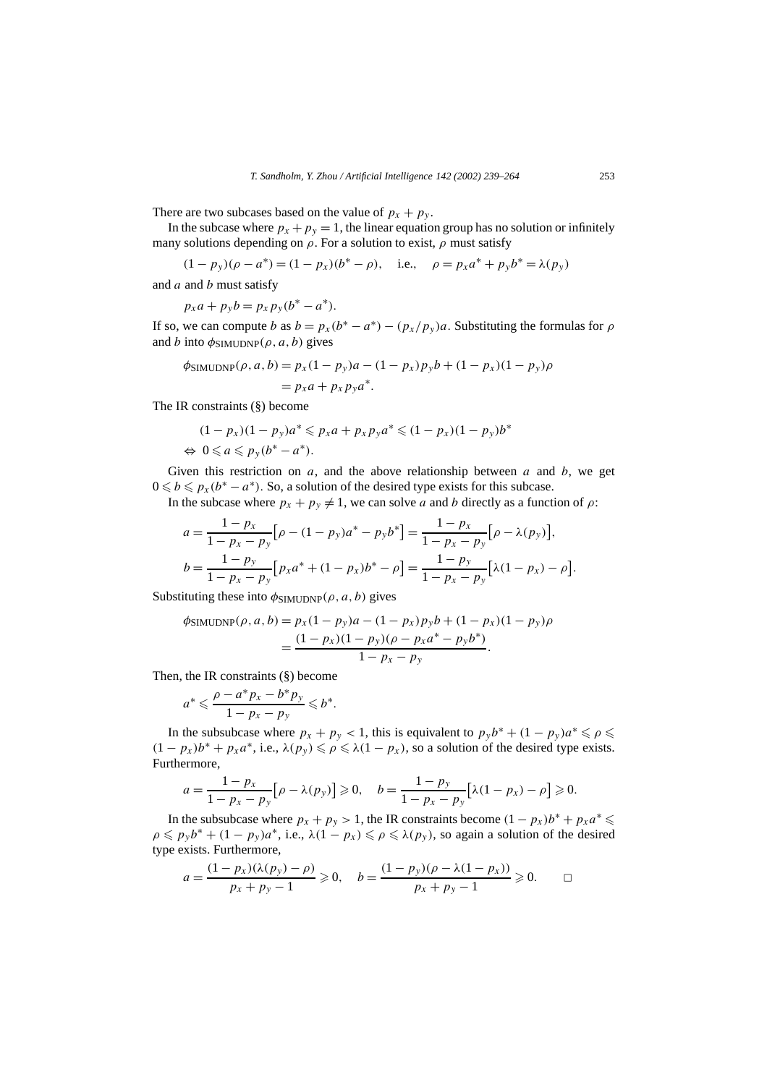There are two subcases based on the value of  $p_x + p_y$ .

In the subcase where  $p_x + p_y = 1$ , the linear equation group has no solution or infinitely many solutions depending on  $\rho$ . For a solution to exist,  $\rho$  must satisfy

 $(1 - p_y)(\rho - a^*) = (1 - p_x)(b^* - \rho), \text{ i.e., } \rho = p_x a^* + p_y b^* = \lambda(p_y)$ 

and *a* and *b* must satisfy

 $p_x a + p_y b = p_x p_y (b^* - a^*).$ 

If so, we can compute *b* as  $b = p_x(b^* - a^*) - (p_x/p_y)a$ . Substituting the formulas for  $\rho$ and *b* into  $\phi$ SIMUDNP( $\rho$ ,  $a$ ,  $b$ ) gives

$$
\phi_{SIMUDNP}(\rho, a, b) = p_x (1 - p_y)a - (1 - p_x)p_y b + (1 - p_x)(1 - p_y)\rho
$$
  
=  $p_x a + p_x p_y a^*$ .

The IR constraints (§) become

$$
(1 - px)(1 - py)a* \le pxa + pxpya* \le (1 - px)(1 - py)b*
$$
  
\n
$$
\Leftrightarrow 0 \le a \le py(b* - a*).
$$

Given this restriction on *a*, and the above relationship between *a* and *b*, we get  $0 \leq b \leq p_x(b^* - a^*)$ . So, a solution of the desired type exists for this subcase.

In the subcase where  $p_x + p_y \neq 1$ , we can solve *a* and *b* directly as a function of  $\rho$ :

$$
a = \frac{1 - p_x}{1 - p_x - p_y} \Big[ \rho - (1 - p_y) a^* - p_y b^* \Big] = \frac{1 - p_x}{1 - p_x - p_y} \Big[ \rho - \lambda(p_y) \Big],
$$
  
\n
$$
b = \frac{1 - p_y}{1 - p_x - p_y} \Big[ p_x a^* + (1 - p_x) b^* - \rho \Big] = \frac{1 - p_y}{1 - p_x - p_y} \Big[ \lambda (1 - p_x) - \rho \Big].
$$

Substituting these into  $\phi_{SIMUDNP}(\rho, a, b)$  gives

$$
\phi_{\text{SIMUDNP}}(\rho, a, b) = p_x (1 - p_y) a - (1 - p_x) p_y b + (1 - p_x) (1 - p_y) \rho
$$
  
= 
$$
\frac{(1 - p_x)(1 - p_y)(\rho - p_x a^* - p_y b^*)}{1 - p_x - p_y}.
$$

Then, the IR constraints (§) become

$$
a^* \leqslant \frac{\rho - a^* p_x - b^* p_y}{1 - p_x - p_y} \leqslant b^*.
$$

In the subsubcase where  $p_x + p_y < 1$ , this is equivalent to  $p_y b^* + (1 - p_y) a^* \le \rho \le$  $(1 - p_x)b^* + p_x a^*$ , i.e.,  $\lambda(p_y) \leq \rho \leq \lambda (1 - p_x)$ , so a solution of the desired type exists. Furthermore,

$$
a = \frac{1 - p_x}{1 - p_x - p_y} \Big[ \rho - \lambda(p_y) \Big] \geq 0, \quad b = \frac{1 - p_y}{1 - p_x - p_y} \Big[ \lambda(1 - p_x) - \rho \Big] \geq 0.
$$

In the subsubcase where  $p_x + p_y > 1$ , the IR constraints become  $(1 - p_x)b^* + p_x a^* \leq$  $\rho \leq p_y b^* + (1 - p_y)a^*$ , i.e.,  $\lambda(1 - p_x) \leq \rho \leq \lambda(p_y)$ , so again a solution of the desired type exists. Furthermore,

$$
a = \frac{(1 - p_x)(\lambda(p_y) - \rho)}{p_x + p_y - 1} \ge 0, \quad b = \frac{(1 - p_y)(\rho - \lambda(1 - p_x))}{p_x + p_y - 1} \ge 0. \quad \Box
$$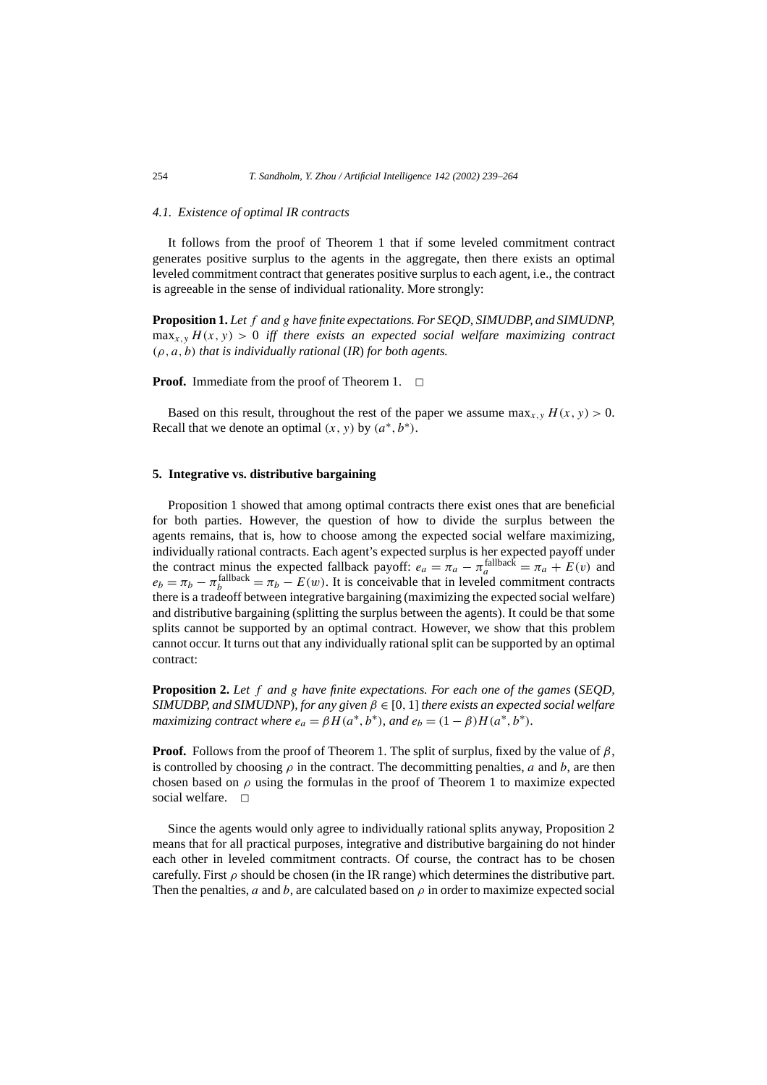# *4.1. Existence of optimal IR contracts*

It follows from the proof of Theorem 1 that if some leveled commitment contract generates positive surplus to the agents in the aggregate, then there exists an optimal leveled commitment contract that generates positive surplus to each agent, i.e., the contract is agreeable in the sense of individual rationality. More strongly:

**Proposition 1.** *Let f and g have finite expectations. For SEQD, SIMUDBP, and SIMUDNP,*  $\max_{x,y} H(x, y) > 0$  *iff there exists an expected social welfare maximizing contract (ρ, a, b) that is individually rational* (*IR*) *for both agents.*

**Proof.** Immediate from the proof of Theorem 1.  $\Box$ 

Based on this result, throughout the rest of the paper we assume  $\max_{x,y} H(x, y) > 0$ . Recall that we denote an optimal  $(x, y)$  by  $(a^*, b^*)$ .

# **5. Integrative vs. distributive bargaining**

Proposition 1 showed that among optimal contracts there exist ones that are beneficial for both parties. However, the question of how to divide the surplus between the agents remains, that is, how to choose among the expected social welfare maximizing, individually rational contracts. Each agent's expected surplus is her expected payoff under the contract minus the expected fallback payoff:  $e_a = \pi_a - \pi_a^{\text{fallback}} = \pi_a + E(v)$  and  $e_b = \pi_b - \pi_b^{\text{fallback}} = \pi_b - E(w)$ . It is conceivable that in leveled commitment contracts there is a tradeoff between integrative bargaining (maximizing the expected social welfare) and distributive bargaining (splitting the surplus between the agents). It could be that some splits cannot be supported by an optimal contract. However, we show that this problem cannot occur. It turns out that any individually rational split can be supported by an optimal contract:

**Proposition 2.** *Let f and g have finite expectations. For each one of the games* (*SEQD, SIMUDBP, and SIMUDNP)*, for any given  $\beta \in [0, 1]$  *there exists an expected social welfare maximizing contract where*  $e_a = \beta H(a^*, b^*)$ *, and*  $e_b = (1 - \beta)H(a^*, b^*)$ *.* 

**Proof.** Follows from the proof of Theorem 1. The split of surplus, fixed by the value of *β*, is controlled by choosing  $\rho$  in the contract. The decommitting penalties, *a* and *b*, are then chosen based on  $\rho$  using the formulas in the proof of Theorem 1 to maximize expected social welfare.  $\square$ 

Since the agents would only agree to individually rational splits anyway, Proposition 2 means that for all practical purposes, integrative and distributive bargaining do not hinder each other in leveled commitment contracts. Of course, the contract has to be chosen carefully. First  $\rho$  should be chosen (in the IR range) which determines the distributive part. Then the penalties, *a* and *b*, are calculated based on  $\rho$  in order to maximize expected social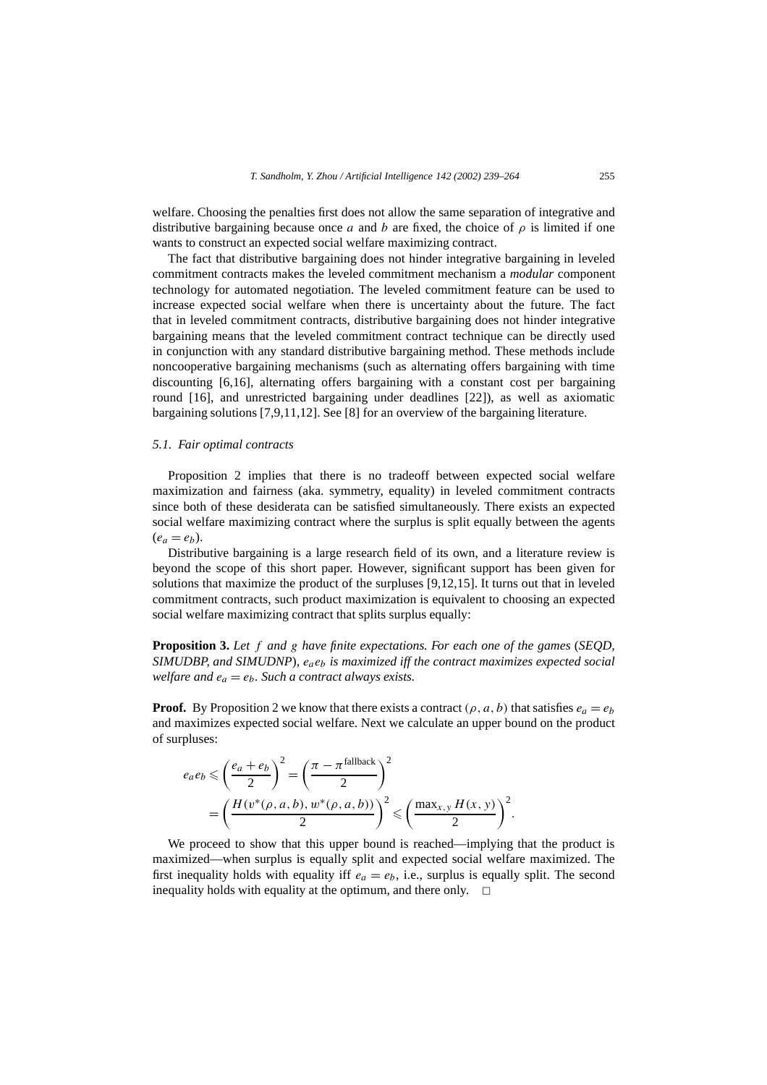welfare. Choosing the penalties first does not allow the same separation of integrative and distributive bargaining because once *a* and *b* are fixed, the choice of  $\rho$  is limited if one wants to construct an expected social welfare maximizing contract.

The fact that distributive bargaining does not hinder integrative bargaining in leveled commitment contracts makes the leveled commitment mechanism a *modular* component technology for automated negotiation. The leveled commitment feature can be used to increase expected social welfare when there is uncertainty about the future. The fact that in leveled commitment contracts, distributive bargaining does not hinder integrative bargaining means that the leveled commitment contract technique can be directly used in conjunction with any standard distributive bargaining method. These methods include noncooperative bargaining mechanisms (such as alternating offers bargaining with time discounting [6,16], alternating offers bargaining with a constant cost per bargaining round [16], and unrestricted bargaining under deadlines [22]), as well as axiomatic bargaining solutions [7,9,11,12]. See [8] for an overview of the bargaining literature.

### *5.1. Fair optimal contracts*

Proposition 2 implies that there is no tradeoff between expected social welfare maximization and fairness (aka. symmetry, equality) in leveled commitment contracts since both of these desiderata can be satisfied simultaneously. There exists an expected social welfare maximizing contract where the surplus is split equally between the agents  $(e_a = e_b).$ 

Distributive bargaining is a large research field of its own, and a literature review is beyond the scope of this short paper. However, significant support has been given for solutions that maximize the product of the surpluses [9,12,15]. It turns out that in leveled commitment contracts, such product maximization is equivalent to choosing an expected social welfare maximizing contract that splits surplus equally:

**Proposition 3.** *Let f and g have finite expectations. For each one of the games* (*SEQD, SIMUDBP, and SIMUDNP*)*, eaeb is maximized iff the contract maximizes expected social welfare and*  $e_a = e_b$ . Such a contract always exists.

**Proof.** By Proposition 2 we know that there exists a contract  $(\rho, a, b)$  that satisfies  $e_a = e_b$ and maximizes expected social welfare. Next we calculate an upper bound on the product of surpluses:

$$
e_a e_b \leqslant \left(\frac{e_a + e_b}{2}\right)^2 = \left(\frac{\pi - \pi^{\text{ fallback}}}{2}\right)^2
$$
  
= 
$$
\left(\frac{H(v^*(\rho, a, b), w^*(\rho, a, b))}{2}\right)^2 \leqslant \left(\frac{\max_{x, y} H(x, y)}{2}\right)^2.
$$

We proceed to show that this upper bound is reached—implying that the product is maximized—when surplus is equally split and expected social welfare maximized. The first inequality holds with equality iff  $e_a = e_b$ , i.e., surplus is equally split. The second inequality holds with equality at the optimum, and there only.  $\Box$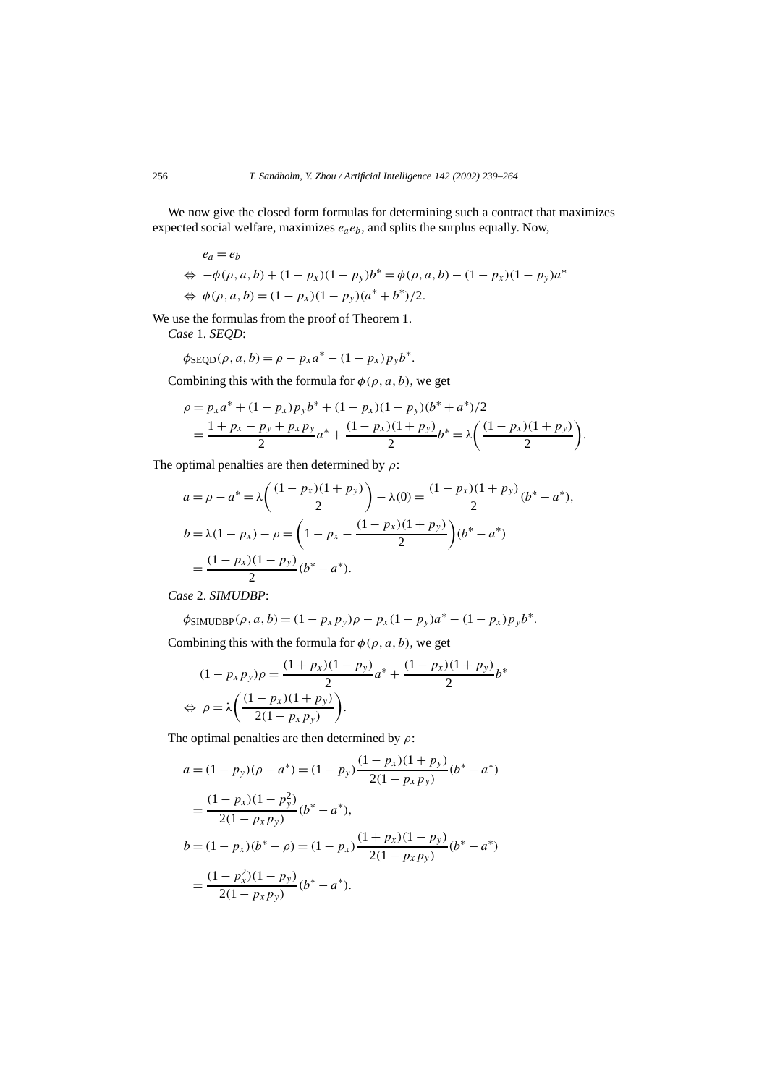We now give the closed form formulas for determining such a contract that maximizes expected social welfare, maximizes *eaeb*, and splits the surplus equally. Now,

$$
e_a = e_b
$$
  
\n
$$
\Leftrightarrow -\phi(\rho, a, b) + (1 - p_x)(1 - p_y)b^* = \phi(\rho, a, b) - (1 - p_x)(1 - p_y)a^*
$$
  
\n
$$
\Leftrightarrow \phi(\rho, a, b) = (1 - p_x)(1 - p_y)(a^* + b^*)/2.
$$

We use the formulas from the proof of Theorem 1.

*Case* 1. *SEQD*:

 $\phi_{\text{SEQD}}(\rho, a, b) = \rho - p_x a^* - (1 - p_x) p_y b^*$ .

Combining this with the formula for  $\phi(\rho, a, b)$ , we get

$$
\rho = p_x a^* + (1 - p_x) p_y b^* + (1 - p_x) (1 - p_y) (b^* + a^*) / 2
$$
  
= 
$$
\frac{1 + p_x - p_y + p_x p_y}{2} a^* + \frac{(1 - p_x) (1 + p_y)}{2} b^* = \lambda \left( \frac{(1 - p_x) (1 + p_y)}{2} \right).
$$

The optimal penalties are then determined by *ρ*:

$$
a = \rho - a^* = \lambda \left( \frac{(1 - p_x)(1 + p_y)}{2} \right) - \lambda(0) = \frac{(1 - p_x)(1 + p_y)}{2} (b^* - a^*),
$$
  
\n
$$
b = \lambda (1 - p_x) - \rho = \left( 1 - p_x - \frac{(1 - p_x)(1 + p_y)}{2} \right) (b^* - a^*)
$$
  
\n
$$
= \frac{(1 - p_x)(1 - p_y)}{2} (b^* - a^*).
$$

*Case* 2. *SIMUDBP*:

$$
\phi_{SIMUDBP}(\rho, a, b) = (1 - p_x p_y)\rho - p_x(1 - p_y)a^* - (1 - p_x)p_yb^*.
$$
\nCombining this with the formula for  $\phi(a, a, b)$ , we get

Combining this with the formula for  $\phi(\rho, a, b)$ , we get

$$
(1 - p_x p_y)\rho = \frac{(1 + p_x)(1 - p_y)}{2}a^* + \frac{(1 - p_x)(1 + p_y)}{2}b^*
$$
  
\n
$$
\Leftrightarrow \rho = \lambda \left(\frac{(1 - p_x)(1 + p_y)}{2(1 - p_x p_y)}\right).
$$

The optimal penalties are then determined by *ρ*:

$$
a = (1 - p_y)(\rho - a^*) = (1 - p_y)\frac{(1 - p_x)(1 + p_y)}{2(1 - p_x p_y)}(b^* - a^*)
$$
  
= 
$$
\frac{(1 - p_x)(1 - p_y^2)}{2(1 - p_x p_y)}(b^* - a^*),
$$
  

$$
b = (1 - p_x)(b^* - \rho) = (1 - p_x)\frac{(1 + p_x)(1 - p_y)}{2(1 - p_x p_y)}(b^* - a^*)
$$
  
= 
$$
\frac{(1 - p_x^2)(1 - p_y)}{2(1 - p_x p_y)}(b^* - a^*).
$$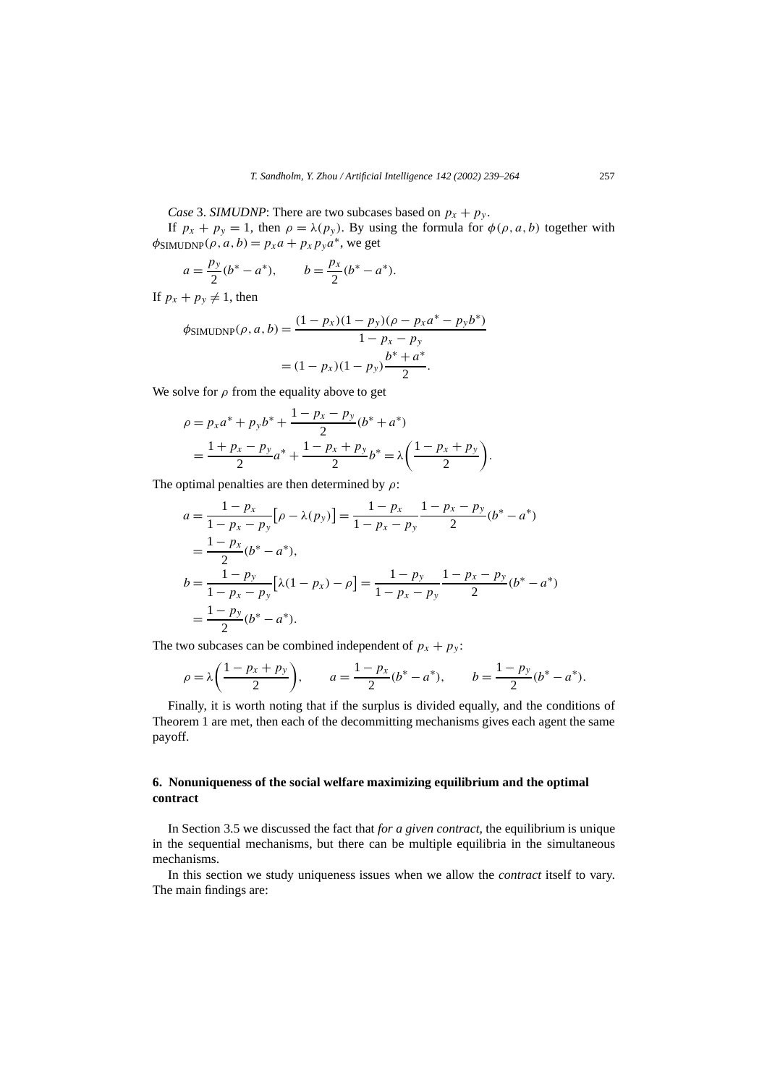*Case* 3. *SIMUDNP*: There are two subcases based on  $p_x + p_y$ .

If  $p_x + p_y = 1$ , then  $\rho = \lambda(p_y)$ . By using the formula for  $\phi(\rho, a, b)$  together with  $\phi$ SIMUDNP $(\rho, a, b) = p_x a + p_x p_y a^*$ , we get

$$
a = \frac{p_y}{2}(b^* - a^*), \qquad b = \frac{p_x}{2}(b^* - a^*).
$$

If  $p_x + p_y \neq 1$ , then

$$
\phi_{\text{SIMUDNP}}(\rho, a, b) = \frac{(1 - p_x)(1 - p_y)(\rho - p_x a^* - p_y b^*)}{1 - p_x - p_y}
$$

$$
= (1 - p_x)(1 - p_y)\frac{b^* + a^*}{2}.
$$

We solve for  $\rho$  from the equality above to get

$$
\rho = p_x a^* + p_y b^* + \frac{1 - p_x - p_y}{2} (b^* + a^*)
$$
  
= 
$$
\frac{1 + p_x - p_y}{2} a^* + \frac{1 - p_x + p_y}{2} b^* = \lambda \left( \frac{1 - p_x + p_y}{2} \right).
$$

The optimal penalties are then determined by *ρ*:

$$
a = \frac{1 - p_x}{1 - p_x - p_y} \Big[ \rho - \lambda(p_y) \Big] = \frac{1 - p_x}{1 - p_x - p_y} \frac{1 - p_x - p_y}{2} (b^* - a^*)
$$
  
= 
$$
\frac{1 - p_x}{2} (b^* - a^*),
$$
  

$$
b = \frac{1 - p_y}{1 - p_x - p_y} \Big[ \lambda (1 - p_x) - \rho \Big] = \frac{1 - p_y}{1 - p_x - p_y} \frac{1 - p_x - p_y}{2} (b^* - a^*)
$$
  
= 
$$
\frac{1 - p_y}{2} (b^* - a^*).
$$

The two subcases can be combined independent of  $p_x + p_y$ :

$$
\rho = \lambda \left( \frac{1 - p_x + p_y}{2} \right), \qquad a = \frac{1 - p_x}{2} (b^* - a^*), \qquad b = \frac{1 - p_y}{2} (b^* - a^*).
$$

Finally, it is worth noting that if the surplus is divided equally, and the conditions of Theorem 1 are met, then each of the decommitting mechanisms gives each agent the same payoff.

# **6. Nonuniqueness of the social welfare maximizing equilibrium and the optimal contract**

In Section 3.5 we discussed the fact that *for a given contract*, the equilibrium is unique in the sequential mechanisms, but there can be multiple equilibria in the simultaneous mechanisms.

In this section we study uniqueness issues when we allow the *contract* itself to vary. The main findings are: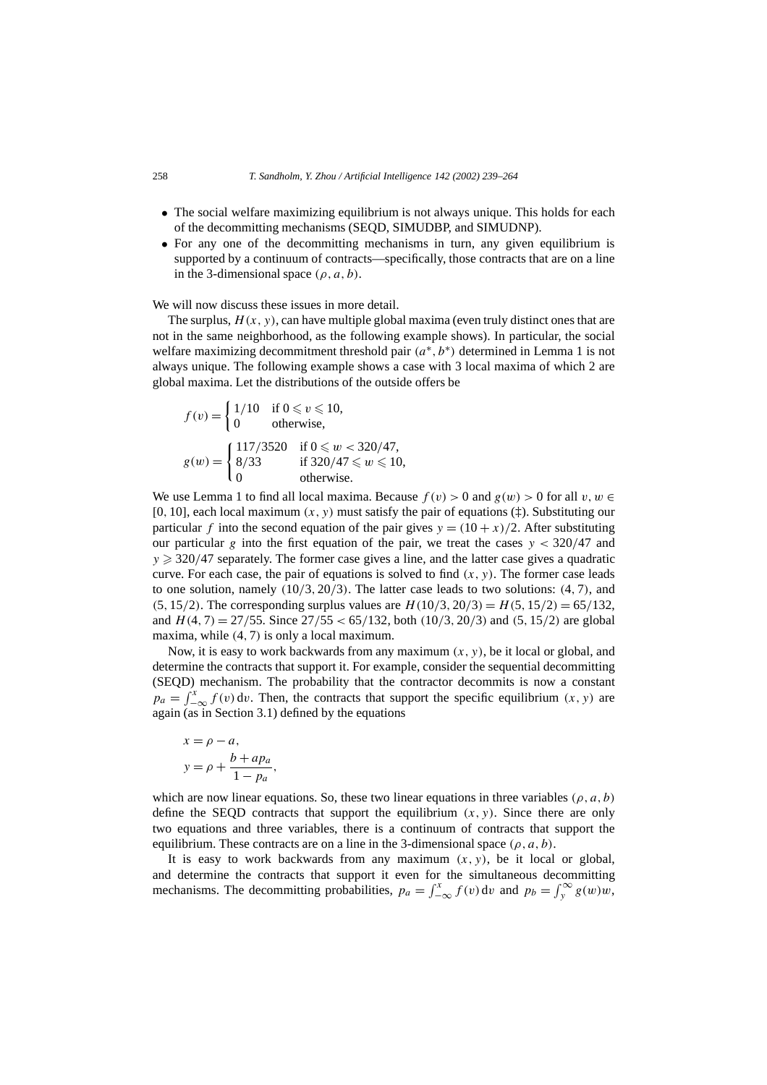- The social welfare maximizing equilibrium is not always unique. This holds for each of the decommitting mechanisms (SEQD, SIMUDBP, and SIMUDNP).
- For any one of the decommitting mechanisms in turn, any given equilibrium is supported by a continuum of contracts—specifically, those contracts that are on a line in the 3-dimensional space  $(\rho, a, b)$ .

We will now discuss these issues in more detail.

The surplus,  $H(x, y)$ , can have multiple global maxima (even truly distinct ones that are not in the same neighborhood, as the following example shows). In particular, the social welfare maximizing decommitment threshold pair *(a*∗*, b*∗*)* determined in Lemma 1 is not always unique. The following example shows a case with 3 local maxima of which 2 are global maxima. Let the distributions of the outside offers be

$$
f(v) = \begin{cases} 1/10 & \text{if } 0 \le v \le 10, \\ 0 & \text{otherwise,} \end{cases}
$$
  

$$
g(w) = \begin{cases} 117/3520 & \text{if } 0 \le w < 320/47, \\ 8/33 & \text{if } 320/47 \le w \le 10, \\ 0 & \text{otherwise.} \end{cases}
$$

We use Lemma 1 to find all local maxima. Because  $f(v) > 0$  and  $g(w) > 0$  for all  $v, w \in$ [0*,* 10], each local maximum *(x, y)* must satisfy the pair of equations (‡). Substituting our particular *f* into the second equation of the pair gives  $y = (10 + x)/2$ . After substituting our particular *g* into the first equation of the pair, we treat the cases  $y < 320/47$  and  $y \ge 320/47$  separately. The former case gives a line, and the latter case gives a quadratic curve. For each case, the pair of equations is solved to find  $(x, y)$ . The former case leads to one solution, namely *(*10*/*3*,* 20*/*3*)*. The latter case leads to two solutions: *(*4*,* 7*)*, and *(*5*,* 15*/*2*)*. The corresponding surplus values are *H (*10*/*3*,* 20*/*3*)* = *H (*5*,* 15*/*2*)* = 65*/*132, and *H (*4*,* 7*)* = 27*/*55. Since 27*/*55 *<* 65*/*132, both *(*10*/*3*,* 20*/*3*)* and *(*5*,* 15*/*2*)* are global maxima, while *(*4*,* 7*)* is only a local maximum.

Now, it is easy to work backwards from any maximum *(x, y)*, be it local or global, and determine the contracts that support it. For example, consider the sequential decommitting (SEQD) mechanism. The probability that the contractor decommits is now a constant  $p_a = \int_{-\infty}^{x} f(v) dv$ . Then, the contracts that support the specific equilibrium *(x, y)* are again (as in Section 3.1) defined by the equations

$$
x = \rho - a,
$$
  

$$
y = \rho + \frac{b + ap_a}{1 - pa}
$$

*,*

which are now linear equations. So, these two linear equations in three variables  $(\rho, a, b)$ define the SEQD contracts that support the equilibrium  $(x, y)$ . Since there are only two equations and three variables, there is a continuum of contracts that support the equilibrium. These contracts are on a line in the 3-dimensional space  $(\rho, a, b)$ .

It is easy to work backwards from any maximum  $(x, y)$ , be it local or global, and determine the contracts that support it even for the simultaneous decommitting mechanisms. The decommitting probabilities,  $p_a = \int_{-\infty}^{x} f(v) dv$  and  $p_b = \int_{y}^{\infty} g(w)w$ ,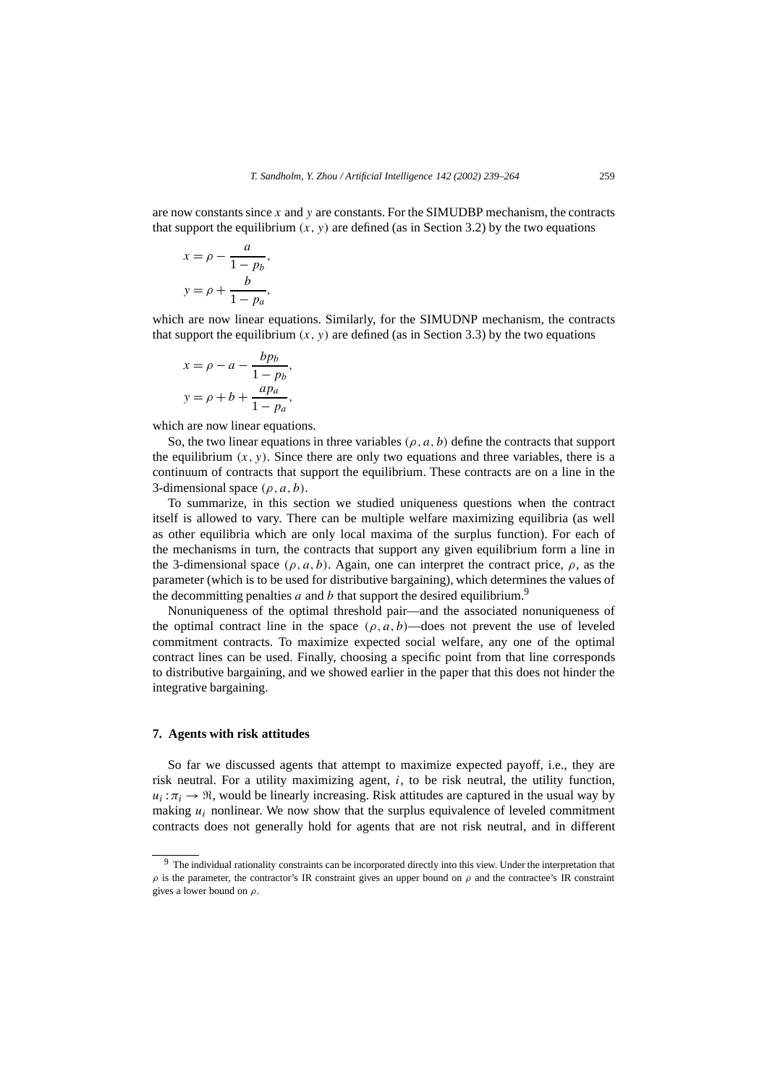are now constants since *x* and *y* are constants. For the SIMUDBP mechanism, the contracts that support the equilibrium  $(x, y)$  are defined (as in Section 3.2) by the two equations

$$
x = \rho - \frac{a}{1 - p_b},
$$
  

$$
y = \rho + \frac{b}{1 - p_a},
$$

which are now linear equations. Similarly, for the SIMUDNP mechanism, the contracts that support the equilibrium  $(x, y)$  are defined (as in Section 3.3) by the two equations

$$
x = \rho - a - \frac{bp_b}{1 - pb},
$$
  

$$
y = \rho + b + \frac{ap_a}{1 - pa},
$$

which are now linear equations.

So, the two linear equations in three variables  $(\rho, a, b)$  define the contracts that support the equilibrium  $(x, y)$ . Since there are only two equations and three variables, there is a continuum of contracts that support the equilibrium. These contracts are on a line in the 3-dimensional space *(ρ, a, b)*.

To summarize, in this section we studied uniqueness questions when the contract itself is allowed to vary. There can be multiple welfare maximizing equilibria (as well as other equilibria which are only local maxima of the surplus function). For each of the mechanisms in turn, the contracts that support any given equilibrium form a line in the 3-dimensional space  $(\rho, a, b)$ . Again, one can interpret the contract price,  $\rho$ , as the parameter (which is to be used for distributive bargaining), which determines the values of the decommitting penalties *a* and *b* that support the desired equilibrium.<sup>9</sup>

Nonuniqueness of the optimal threshold pair—and the associated nonuniqueness of the optimal contract line in the space  $(\rho, a, b)$ —does not prevent the use of leveled commitment contracts. To maximize expected social welfare, any one of the optimal contract lines can be used. Finally, choosing a specific point from that line corresponds to distributive bargaining, and we showed earlier in the paper that this does not hinder the integrative bargaining.

## **7. Agents with risk attitudes**

So far we discussed agents that attempt to maximize expected payoff, i.e., they are risk neutral. For a utility maximizing agent, *i*, to be risk neutral, the utility function,  $u_i : \pi_i \to \Re$ , would be linearly increasing. Risk attitudes are captured in the usual way by making  $u_i$  nonlinear. We now show that the surplus equivalence of leveled commitment contracts does not generally hold for agents that are not risk neutral, and in different

<sup>9</sup> The individual rationality constraints can be incorporated directly into this view. Under the interpretation that  $\rho$  is the parameter, the contractor's IR constraint gives an upper bound on  $\rho$  and the contractee's IR constraint gives a lower bound on *ρ*.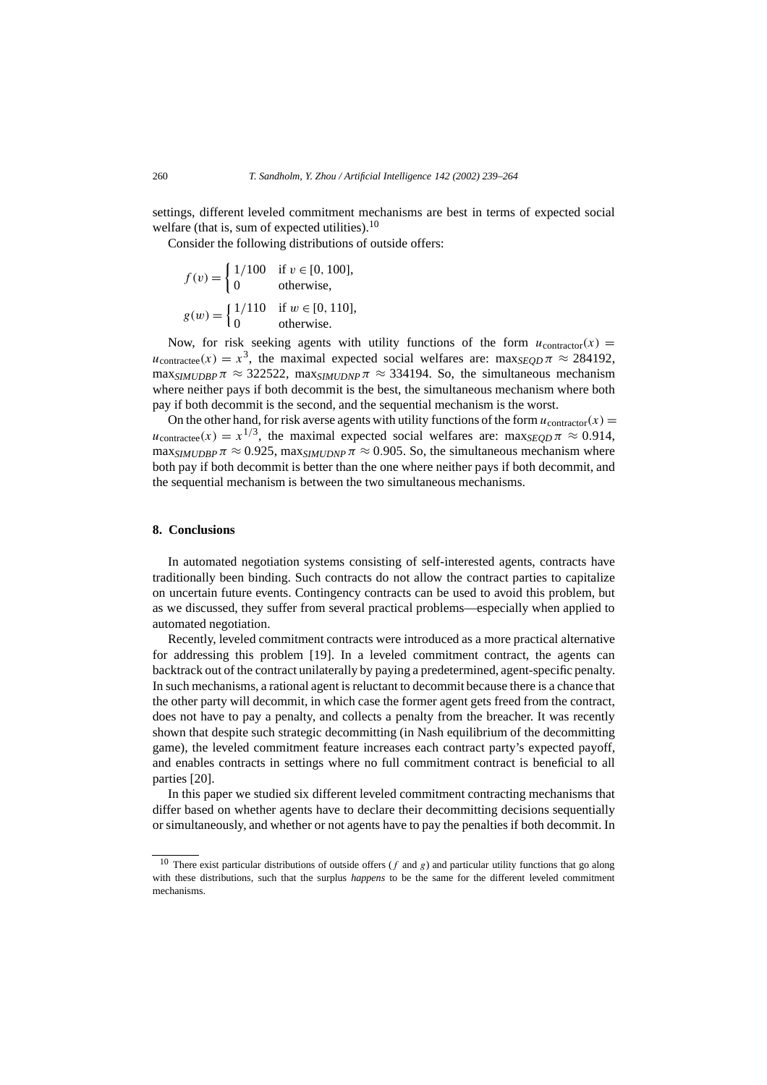settings, different leveled commitment mechanisms are best in terms of expected social welfare (that is, sum of expected utilities). $10$ 

Consider the following distributions of outside offers:

$$
f(v) = \begin{cases} 1/100 & \text{if } v \in [0, 100], \\ 0 & \text{otherwise,} \end{cases}
$$
  

$$
g(w) = \begin{cases} 1/110 & \text{if } w \in [0, 110], \\ 0 & \text{otherwise.} \end{cases}
$$

Now, for risk seeking agents with utility functions of the form  $u_{\text{contractor}}(x) =$  $u_{\text{contractee}}(x) = x^3$ , the maximal expected social welfares are: max $\chi_{EOD} \pi \approx 284192$ ,  $\max_{SIMIDBP} \pi \approx 322522$ ,  $\max_{SIMIDNP} \pi \approx 334194$ . So, the simultaneous mechanism where neither pays if both decommit is the best, the simultaneous mechanism where both pay if both decommit is the second, and the sequential mechanism is the worst.

On the other hand, for risk averse agents with utility functions of the form  $u_{\text{contractor}}(x) =$  $u_{\text{contractee}}(x) = x^{1/3}$ , the maximal expected social welfares are: max $_{\text{SEOD}} \pi \approx 0.914$ ,  $\max_{SIMIDBP} \pi \approx 0.925$ ,  $\max_{SIMIDNP} \pi \approx 0.905$ . So, the simultaneous mechanism where both pay if both decommit is better than the one where neither pays if both decommit, and the sequential mechanism is between the two simultaneous mechanisms.

# **8. Conclusions**

In automated negotiation systems consisting of self-interested agents, contracts have traditionally been binding. Such contracts do not allow the contract parties to capitalize on uncertain future events. Contingency contracts can be used to avoid this problem, but as we discussed, they suffer from several practical problems—especially when applied to automated negotiation.

Recently, leveled commitment contracts were introduced as a more practical alternative for addressing this problem [19]. In a leveled commitment contract, the agents can backtrack out of the contract unilaterally by paying a predetermined, agent-specific penalty. In such mechanisms, a rational agent is reluctant to decommit because there is a chance that the other party will decommit, in which case the former agent gets freed from the contract, does not have to pay a penalty, and collects a penalty from the breacher. It was recently shown that despite such strategic decommitting (in Nash equilibrium of the decommitting game), the leveled commitment feature increases each contract party's expected payoff, and enables contracts in settings where no full commitment contract is beneficial to all parties [20].

In this paper we studied six different leveled commitment contracting mechanisms that differ based on whether agents have to declare their decommitting decisions sequentially or simultaneously, and whether or not agents have to pay the penalties if both decommit. In

<sup>&</sup>lt;sup>10</sup> There exist particular distributions of outside offers ( $f$  and  $g$ ) and particular utility functions that go along with these distributions, such that the surplus *happens* to be the same for the different leveled commitment mechanisms.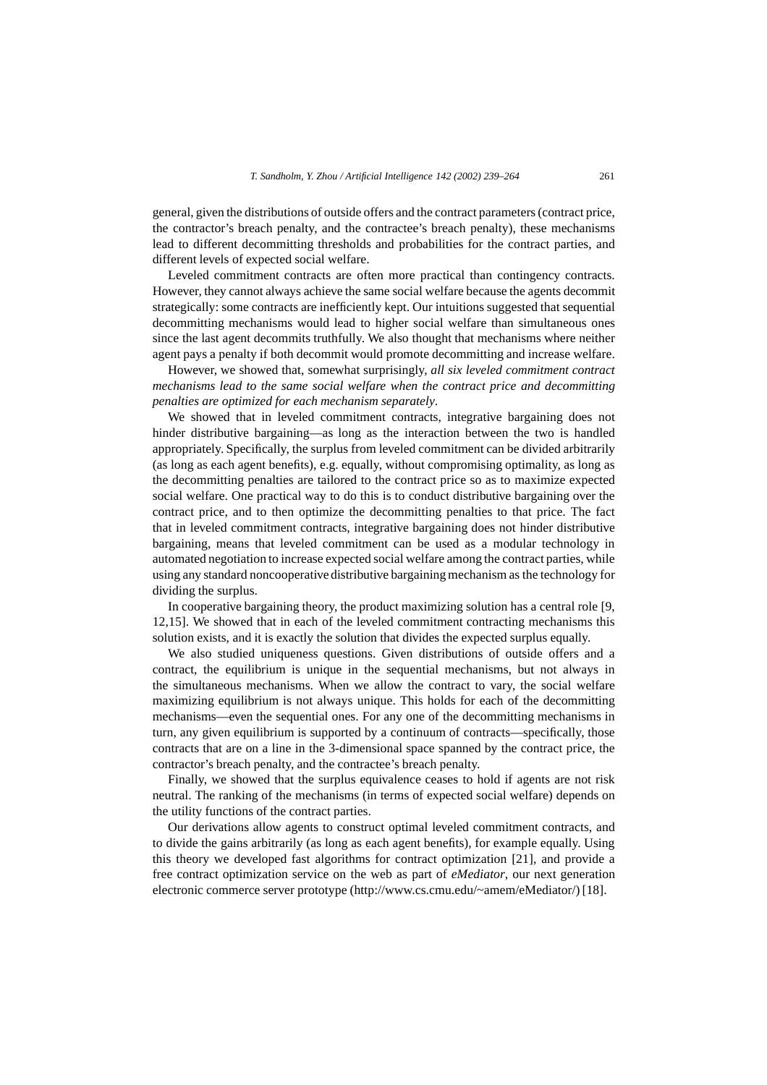general, given the distributions of outside offers and the contract parameters (contract price, the contractor's breach penalty, and the contractee's breach penalty), these mechanisms lead to different decommitting thresholds and probabilities for the contract parties, and different levels of expected social welfare.

Leveled commitment contracts are often more practical than contingency contracts. However, they cannot always achieve the same social welfare because the agents decommit strategically: some contracts are inefficiently kept. Our intuitions suggested that sequential decommitting mechanisms would lead to higher social welfare than simultaneous ones since the last agent decommits truthfully. We also thought that mechanisms where neither agent pays a penalty if both decommit would promote decommitting and increase welfare.

However, we showed that, somewhat surprisingly, *all six leveled commitment contract mechanisms lead to the same social welfare when the contract price and decommitting penalties are optimized for each mechanism separately*.

We showed that in leveled commitment contracts, integrative bargaining does not hinder distributive bargaining—as long as the interaction between the two is handled appropriately. Specifically, the surplus from leveled commitment can be divided arbitrarily (as long as each agent benefits), e.g. equally, without compromising optimality, as long as the decommitting penalties are tailored to the contract price so as to maximize expected social welfare. One practical way to do this is to conduct distributive bargaining over the contract price, and to then optimize the decommitting penalties to that price. The fact that in leveled commitment contracts, integrative bargaining does not hinder distributive bargaining, means that leveled commitment can be used as a modular technology in automated negotiation to increase expected social welfare among the contract parties, while using any standard noncooperative distributive bargaining mechanism as the technology for dividing the surplus.

In cooperative bargaining theory, the product maximizing solution has a central role [9, 12,15]. We showed that in each of the leveled commitment contracting mechanisms this solution exists, and it is exactly the solution that divides the expected surplus equally.

We also studied uniqueness questions. Given distributions of outside offers and a contract, the equilibrium is unique in the sequential mechanisms, but not always in the simultaneous mechanisms. When we allow the contract to vary, the social welfare maximizing equilibrium is not always unique. This holds for each of the decommitting mechanisms—even the sequential ones. For any one of the decommitting mechanisms in turn, any given equilibrium is supported by a continuum of contracts—specifically, those contracts that are on a line in the 3-dimensional space spanned by the contract price, the contractor's breach penalty, and the contractee's breach penalty.

Finally, we showed that the surplus equivalence ceases to hold if agents are not risk neutral. The ranking of the mechanisms (in terms of expected social welfare) depends on the utility functions of the contract parties.

Our derivations allow agents to construct optimal leveled commitment contracts, and to divide the gains arbitrarily (as long as each agent benefits), for example equally. Using this theory we developed fast algorithms for contract optimization [21], and provide a free contract optimization service on the web as part of *eMediator*, our next generation electronic commerce server prototype (http://www.cs.cmu.edu/~amem/eMediator/) [18].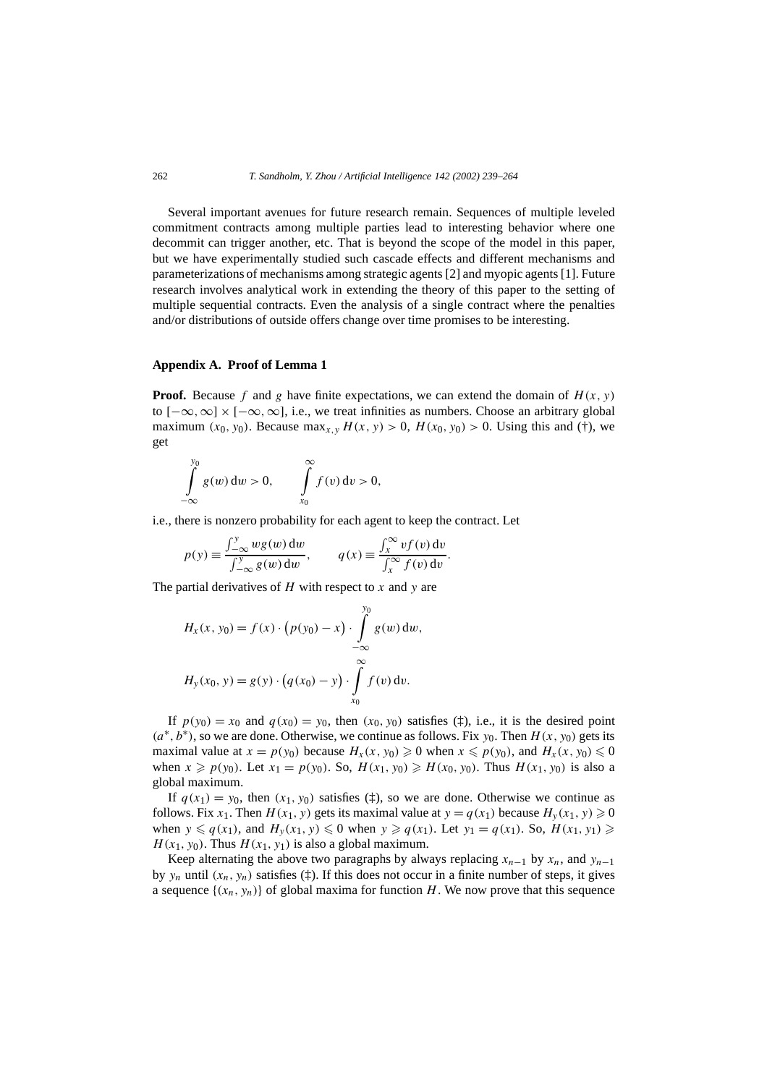Several important avenues for future research remain. Sequences of multiple leveled commitment contracts among multiple parties lead to interesting behavior where one decommit can trigger another, etc. That is beyond the scope of the model in this paper, but we have experimentally studied such cascade effects and different mechanisms and parameterizations of mechanisms among strategic agents [2] and myopic agents [1]. Future research involves analytical work in extending the theory of this paper to the setting of multiple sequential contracts. Even the analysis of a single contract where the penalties and/or distributions of outside offers change over time promises to be interesting.

# **Appendix A. Proof of Lemma 1**

**Proof.** Because f and g have finite expectations, we can extend the domain of  $H(x, y)$ to  $[-\infty, \infty] \times [-\infty, \infty]$ , i.e., we treat infinities as numbers. Choose an arbitrary global maximum  $(x_0, y_0)$ . Because max<sub>x,y</sub>  $H(x, y) > 0$ ,  $H(x_0, y_0) > 0$ . Using this and (†), we get

$$
\int_{-\infty}^{y_0} g(w) dw > 0, \qquad \int_{x_0}^{\infty} f(v) dv > 0,
$$

i.e., there is nonzero probability for each agent to keep the contract. Let

$$
p(y) \equiv \frac{\int_{-\infty}^{y} wg(w) \, dw}{\int_{-\infty}^{y} g(w) \, dw}, \qquad q(x) \equiv \frac{\int_{x}^{\infty} vf(v) \, dv}{\int_{x}^{\infty} f(v) \, dv}.
$$

The partial derivatives of *H* with respect to *x* and *y* are

$$
H_x(x, y_0) = f(x) \cdot (p(y_0) - x) \cdot \int_{-\infty}^{y_0} g(w) dw,
$$
  

$$
H_y(x_0, y) = g(y) \cdot (q(x_0) - y) \cdot \int_{x_0}^{\infty} f(v) dv.
$$

If  $p(y_0) = x_0$  and  $q(x_0) = y_0$ , then  $(x_0, y_0)$  satisfies ( $\ddagger$ ), i.e., it is the desired point  $(a^*, b^*)$ , so we are done. Otherwise, we continue as follows. Fix *y*<sub>0</sub>. Then  $H(x, y_0)$  gets its maximal value at  $x = p(y_0)$  because  $H_x(x, y_0) \ge 0$  when  $x \le p(y_0)$ , and  $H_x(x, y_0) \le 0$ when  $x \ge p(y_0)$ . Let  $x_1 = p(y_0)$ . So,  $H(x_1, y_0) \ge H(x_0, y_0)$ . Thus  $H(x_1, y_0)$  is also a global maximum.

If  $q(x_1) = y_0$ , then  $(x_1, y_0)$  satisfies ( $\ddagger$ ), so we are done. Otherwise we continue as follows. Fix  $x_1$ . Then  $H(x_1, y)$  gets its maximal value at  $y = q(x_1)$  because  $H_y(x_1, y) \ge 0$ when  $y \leq q(x_1)$ , and  $H_y(x_1, y) \leq 0$  when  $y \geq q(x_1)$ . Let  $y_1 = q(x_1)$ . So,  $H(x_1, y_1) \geq 0$  $H(x_1, y_0)$ . Thus  $H(x_1, y_1)$  is also a global maximum.

Keep alternating the above two paragraphs by always replacing  $x_{n-1}$  by  $x_n$ , and  $y_{n-1}$ by  $y_n$  until  $(x_n, y_n)$  satisfies ( $\ddagger$ ). If this does not occur in a finite number of steps, it gives a sequence  $\{(x_n, y_n)\}$  of global maxima for function *H*. We now prove that this sequence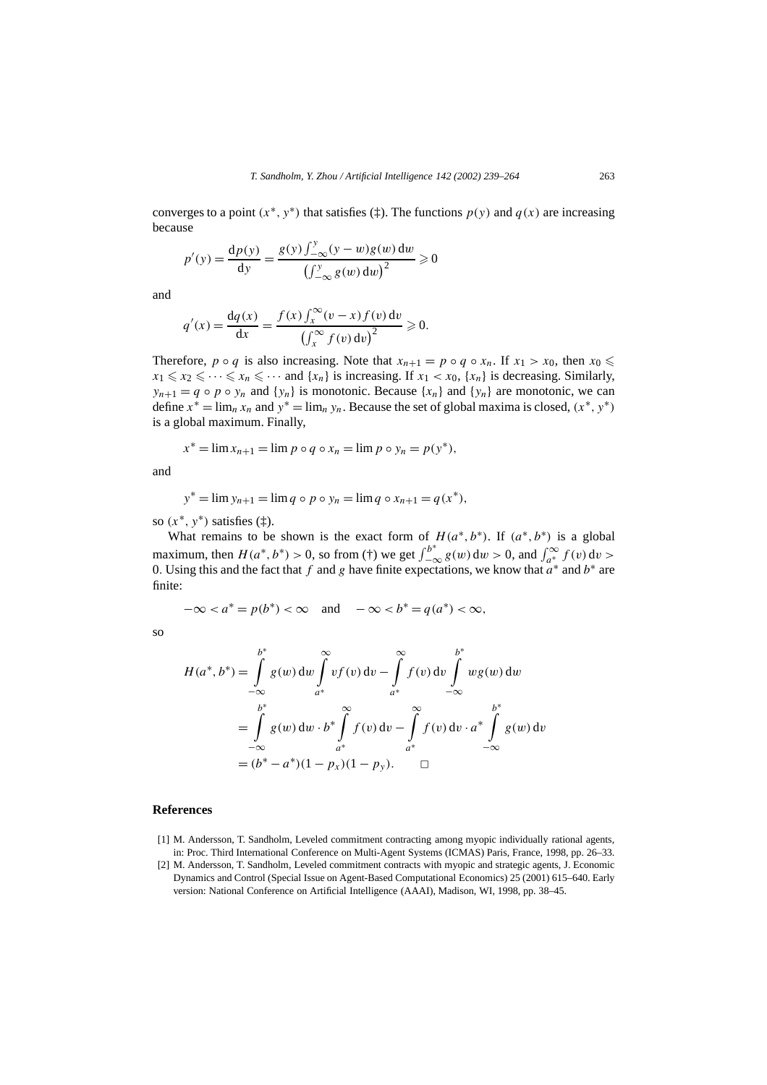converges to a point  $(x^*, y^*)$  that satisfies  $(\ddagger)$ . The functions  $p(y)$  and  $q(x)$  are increasing because

$$
p'(y) = \frac{dp(y)}{dy} = \frac{g(y) \int_{-\infty}^{y} (y - w)g(w) dw}{(\int_{-\infty}^{y} g(w) dw)^{2}} \ge 0
$$

and

$$
q'(x) = \frac{dq(x)}{dx} = \frac{f(x) \int_{x}^{\infty} (v - x) f(v) dv}{(\int_{x}^{\infty} f(v) dv)^2} \ge 0.
$$

Therefore,  $p \circ q$  is also increasing. Note that  $x_{n+1} = p \circ q \circ x_n$ . If  $x_1 > x_0$ , then  $x_0 \leq$  $x_1 \leq x_2 \leq \cdots \leq x_n \leq \cdots$  and  $\{x_n\}$  is increasing. If  $x_1 < x_0$ ,  $\{x_n\}$  is decreasing. Similarly,  $y_{n+1} = q \circ p \circ y_n$  and  $\{y_n\}$  is monotonic. Because  $\{x_n\}$  and  $\{y_n\}$  are monotonic, we can define  $x^* = \lim_n x_n$  and  $y^* = \lim_n y_n$ . Because the set of global maxima is closed,  $(x^*, y^*)$ is a global maximum. Finally,

$$
x^* = \lim x_{n+1} = \lim p \circ q \circ x_n = \lim p \circ y_n = p(y^*),
$$

and

$$
y^* = \lim y_{n+1} = \lim q \circ p \circ y_n = \lim q \circ x_{n+1} = q(x^*),
$$

so *(x*∗*, y*∗*)* satisfies (‡).

What remains to be shown is the exact form of  $H(a^*, b^*)$ . If  $(a^*, b^*)$  is a global maximum, then  $H(a^*, b^*) > 0$ , so from (†) we get  $\int_{-\infty}^{b^*} g(w) dw > 0$ , and  $\int_{a^*}^{\infty} f(v) dv > 0$ 0*.* Using this and the fact that *f* and *g* have finite expectations, we know that *a*<sup>∗</sup> and *b*<sup>∗</sup> are finite:

$$
-\infty < a^* = p(b^*) < \infty \quad \text{and} \quad -\infty < b^* = q(a^*) < \infty,
$$

so

$$
H(a^*, b^*) = \int_{-\infty}^{b^*} g(w) dw \int_{a^*}^{\infty} vf(v) dv - \int_{a^*}^{\infty} f(v) dv \int_{-\infty}^{b^*} wg(w) dw
$$
  
= 
$$
\int_{-\infty}^{b^*} g(w) dw \cdot b^* \int_{a^*}^{\infty} f(v) dv - \int_{a^*}^{\infty} f(v) dv \cdot a^* \int_{-\infty}^{b^*} g(w) dv
$$
  
= 
$$
(b^* - a^*)(1 - p_x)(1 - p_y).
$$

# **References**

- [1] M. Andersson, T. Sandholm, Leveled commitment contracting among myopic individually rational agents, in: Proc. Third International Conference on Multi-Agent Systems (ICMAS) Paris, France, 1998, pp. 26–33.
- [2] M. Andersson, T. Sandholm, Leveled commitment contracts with myopic and strategic agents, J. Economic Dynamics and Control (Special Issue on Agent-Based Computational Economics) 25 (2001) 615–640. Early version: National Conference on Artificial Intelligence (AAAI), Madison, WI, 1998, pp. 38–45.